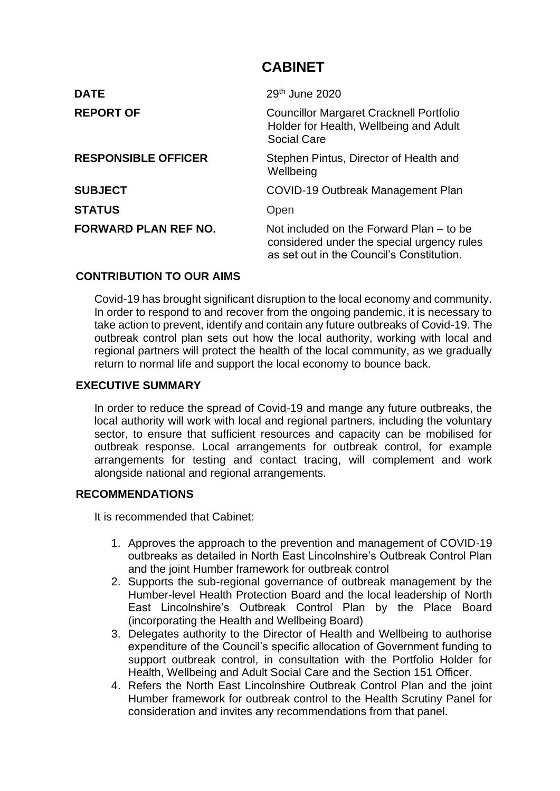# **CABINET**

| <b>DATE</b>                 | 29 <sup>th</sup> June 2020                                                                                                          |
|-----------------------------|-------------------------------------------------------------------------------------------------------------------------------------|
| <b>REPORT OF</b>            | <b>Councillor Margaret Cracknell Portfolio</b><br>Holder for Health, Wellbeing and Adult<br><b>Social Care</b>                      |
| <b>RESPONSIBLE OFFICER</b>  | Stephen Pintus, Director of Health and<br>Wellbeing                                                                                 |
| <b>SUBJECT</b>              | COVID-19 Outbreak Management Plan                                                                                                   |
| <b>STATUS</b>               | Open                                                                                                                                |
| <b>FORWARD PLAN REF NO.</b> | Not included on the Forward Plan – to be<br>considered under the special urgency rules<br>as set out in the Council's Constitution. |

## **CONTRIBUTION TO OUR AIMS**

Covid-19 has brought significant disruption to the local economy and community. In order to respond to and recover from the ongoing pandemic, it is necessary to take action to prevent, identify and contain any future outbreaks of Covid-19. The outbreak control plan sets out how the local authority, working with local and regional partners will protect the health of the local community, as we gradually return to normal life and support the local economy to bounce back.

## **EXECUTIVE SUMMARY**

In order to reduce the spread of Covid-19 and mange any future outbreaks, the local authority will work with local and regional partners, including the voluntary sector, to ensure that sufficient resources and capacity can be mobilised for outbreak response. Local arrangements for outbreak control, for example arrangements for testing and contact tracing, will complement and work alongside national and regional arrangements.

## **RECOMMENDATIONS**

It is recommended that Cabinet:

- 1. Approves the approach to the prevention and management of COVID-19 outbreaks as detailed in North East Lincolnshire's Outbreak Control Plan and the joint Humber framework for outbreak control
- 2. Supports the sub-regional governance of outbreak management by the Humber-level Health Protection Board and the local leadership of North East Lincolnshire's Outbreak Control Plan by the Place Board (incorporating the Health and Wellbeing Board)
- 3. Delegates authority to the Director of Health and Wellbeing to authorise expenditure of the Council's specific allocation of Government funding to support outbreak control, in consultation with the Portfolio Holder for Health, Wellbeing and Adult Social Care and the Section 151 Officer.
- 4. Refers the North East Lincolnshire Outbreak Control Plan and the joint Humber framework for outbreak control to the Health Scrutiny Panel for consideration and invites any recommendations from that panel.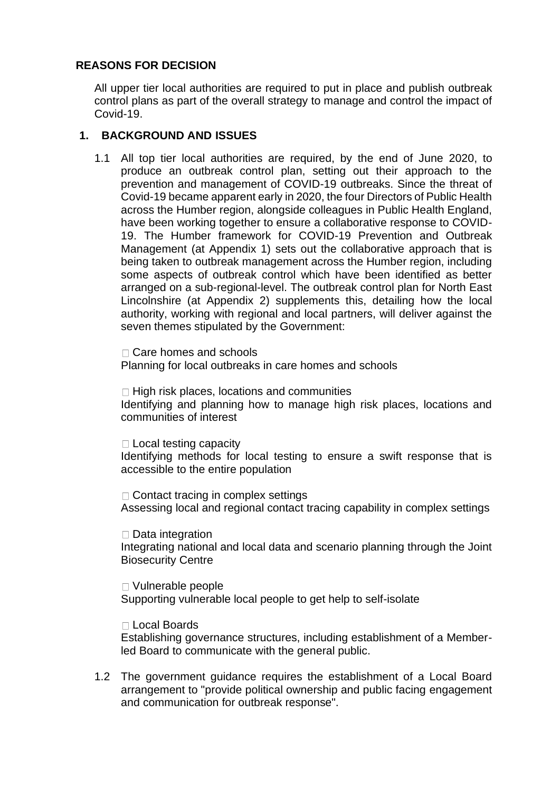## **REASONS FOR DECISION**

All upper tier local authorities are required to put in place and publish outbreak control plans as part of the overall strategy to manage and control the impact of Covid-19.

## **1. BACKGROUND AND ISSUES**

1.1 All top tier local authorities are required, by the end of June 2020, to produce an outbreak control plan, setting out their approach to the prevention and management of COVID-19 outbreaks. Since the threat of Covid-19 became apparent early in 2020, the four Directors of Public Health across the Humber region, alongside colleagues in Public Health England, have been working together to ensure a collaborative response to COVID-19. The Humber framework for COVID-19 Prevention and Outbreak Management (at Appendix 1) sets out the collaborative approach that is being taken to outbreak management across the Humber region, including some aspects of outbreak control which have been identified as better arranged on a sub-regional-level. The outbreak control plan for North East Lincolnshire (at Appendix 2) supplements this, detailing how the local authority, working with regional and local partners, will deliver against the seven themes stipulated by the Government:

□ Care homes and schools Planning for local outbreaks in care homes and schools

 $\Box$  High risk places, locations and communities Identifying and planning how to manage high risk places, locations and communities of interest

 $\Box$  Local testing capacity Identifying methods for local testing to ensure a swift response that is accessible to the entire population

 $\Box$  Contact tracing in complex settings Assessing local and regional contact tracing capability in complex settings

 $\Box$  Data integration Integrating national and local data and scenario planning through the Joint Biosecurity Centre

□ Vulnerable people Supporting vulnerable local people to get help to self-isolate

Local Boards

Establishing governance structures, including establishment of a Memberled Board to communicate with the general public.

1.2 The government guidance requires the establishment of a Local Board arrangement to "provide political ownership and public facing engagement and communication for outbreak response".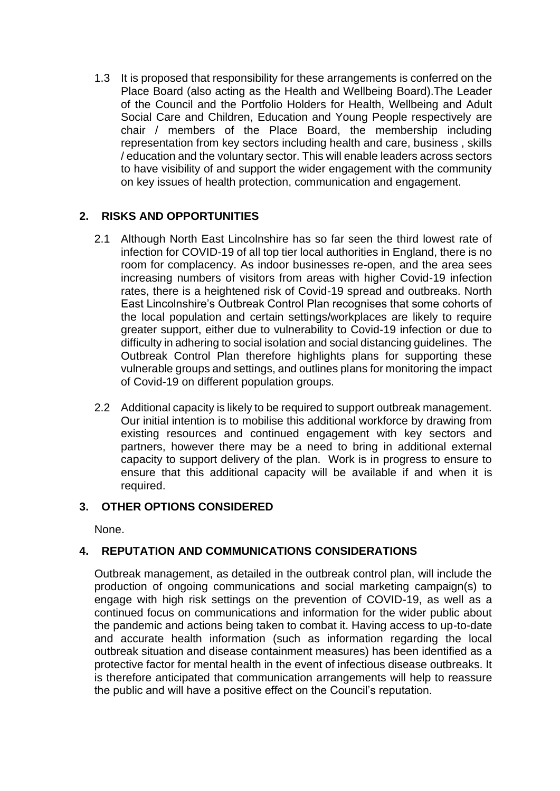1.3 It is proposed that responsibility for these arrangements is conferred on the Place Board (also acting as the Health and Wellbeing Board).The Leader of the Council and the Portfolio Holders for Health, Wellbeing and Adult Social Care and Children, Education and Young People respectively are chair / members of the Place Board, the membership including representation from key sectors including health and care, business , skills / education and the voluntary sector. This will enable leaders across sectors to have visibility of and support the wider engagement with the community on key issues of health protection, communication and engagement.

## **2. RISKS AND OPPORTUNITIES**

- 2.1 Although North East Lincolnshire has so far seen the third lowest rate of infection for COVID-19 of all top tier local authorities in England, there is no room for complacency. As indoor businesses re-open, and the area sees increasing numbers of visitors from areas with higher Covid-19 infection rates, there is a heightened risk of Covid-19 spread and outbreaks. North East Lincolnshire's Outbreak Control Plan recognises that some cohorts of the local population and certain settings/workplaces are likely to require greater support, either due to vulnerability to Covid-19 infection or due to difficulty in adhering to social isolation and social distancing guidelines. The Outbreak Control Plan therefore highlights plans for supporting these vulnerable groups and settings, and outlines plans for monitoring the impact of Covid-19 on different population groups.
- 2.2 Additional capacity is likely to be required to support outbreak management. Our initial intention is to mobilise this additional workforce by drawing from existing resources and continued engagement with key sectors and partners, however there may be a need to bring in additional external capacity to support delivery of the plan. Work is in progress to ensure to ensure that this additional capacity will be available if and when it is required.

## **3. OTHER OPTIONS CONSIDERED**

None.

# **4. REPUTATION AND COMMUNICATIONS CONSIDERATIONS**

Outbreak management, as detailed in the outbreak control plan, will include the production of ongoing communications and social marketing campaign(s) to engage with high risk settings on the prevention of COVID-19, as well as a continued focus on communications and information for the wider public about the pandemic and actions being taken to combat it. Having access to up-to-date and accurate health information (such as information regarding the local outbreak situation and disease containment measures) has been identified as a protective factor for mental health in the event of infectious disease outbreaks. It is therefore anticipated that communication arrangements will help to reassure the public and will have a positive effect on the Council's reputation.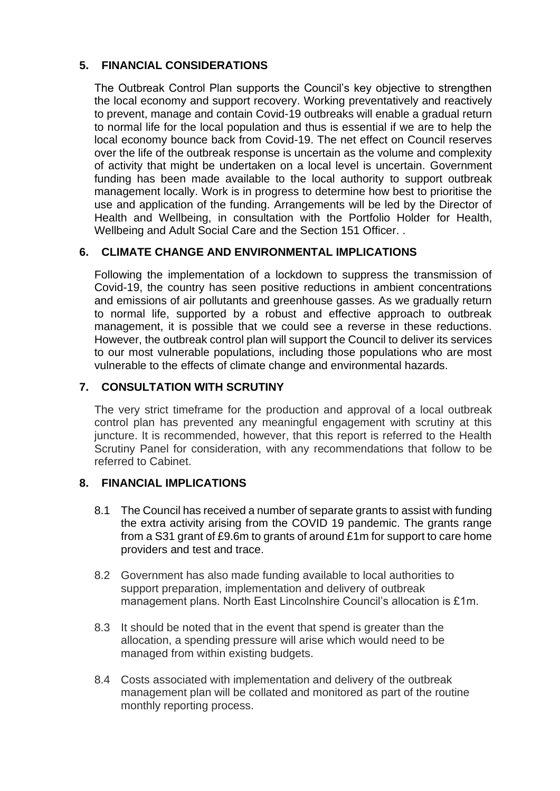## **5. FINANCIAL CONSIDERATIONS**

The Outbreak Control Plan supports the Council's key objective to strengthen the local economy and support recovery. Working preventatively and reactively to prevent, manage and contain Covid-19 outbreaks will enable a gradual return to normal life for the local population and thus is essential if we are to help the local economy bounce back from Covid-19. The net effect on Council reserves over the life of the outbreak response is uncertain as the volume and complexity of activity that might be undertaken on a local level is uncertain. Government funding has been made available to the local authority to support outbreak management locally. Work is in progress to determine how best to prioritise the use and application of the funding. Arrangements will be led by the Director of Health and Wellbeing, in consultation with the Portfolio Holder for Health, Wellbeing and Adult Social Care and the Section 151 Officer. .

## **6. CLIMATE CHANGE AND ENVIRONMENTAL IMPLICATIONS**

Following the implementation of a lockdown to suppress the transmission of Covid-19, the country has seen positive reductions in ambient concentrations and emissions of air pollutants and greenhouse gasses. As we gradually return to normal life, supported by a robust and effective approach to outbreak management, it is possible that we could see a reverse in these reductions. However, the outbreak control plan will support the Council to deliver its services to our most vulnerable populations, including those populations who are most vulnerable to the effects of climate change and environmental hazards.

## **7. CONSULTATION WITH SCRUTINY**

The very strict timeframe for the production and approval of a local outbreak control plan has prevented any meaningful engagement with scrutiny at this juncture. It is recommended, however, that this report is referred to the Health Scrutiny Panel for consideration, with any recommendations that follow to be referred to Cabinet.

## **8. FINANCIAL IMPLICATIONS**

- 8.1 The Council has received a number of separate grants to assist with funding the extra activity arising from the COVID 19 pandemic. The grants range from a S31 grant of £9.6m to grants of around £1m for support to care home providers and test and trace.
- 8.2 Government has also made funding available to local authorities to support preparation, implementation and delivery of outbreak management plans. North East Lincolnshire Council's allocation is £1m.
- 8.3 It should be noted that in the event that spend is greater than the allocation, a spending pressure will arise which would need to be managed from within existing budgets.
- 8.4 Costs associated with implementation and delivery of the outbreak management plan will be collated and monitored as part of the routine monthly reporting process.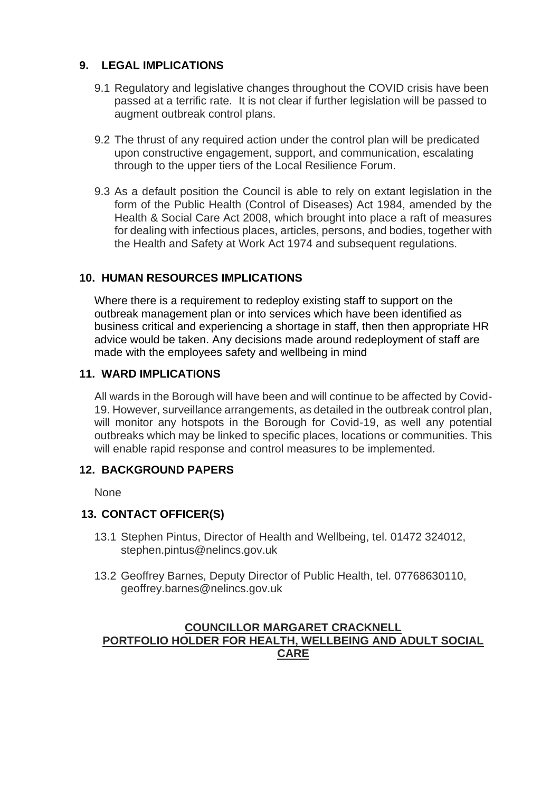## **9. LEGAL IMPLICATIONS**

- 9.1 Regulatory and legislative changes throughout the COVID crisis have been passed at a terrific rate. It is not clear if further legislation will be passed to augment outbreak control plans.
- 9.2 The thrust of any required action under the control plan will be predicated upon constructive engagement, support, and communication, escalating through to the upper tiers of the Local Resilience Forum.
- 9.3 As a default position the Council is able to rely on extant legislation in the form of the Public Health (Control of Diseases) Act 1984, amended by the Health & Social Care Act 2008, which brought into place a raft of measures for dealing with infectious places, articles, persons, and bodies, together with the Health and Safety at Work Act 1974 and subsequent regulations.

# **10. HUMAN RESOURCES IMPLICATIONS**

Where there is a requirement to redeploy existing staff to support on the outbreak management plan or into services which have been identified as business critical and experiencing a shortage in staff, then then appropriate HR advice would be taken. Any decisions made around redeployment of staff are made with the employees safety and wellbeing in mind

## **11. WARD IMPLICATIONS**

All wards in the Borough will have been and will continue to be affected by Covid-19. However, surveillance arrangements, as detailed in the outbreak control plan, will monitor any hotspots in the Borough for Covid-19, as well any potential outbreaks which may be linked to specific places, locations or communities. This will enable rapid response and control measures to be implemented.

## **12. BACKGROUND PAPERS**

**None** 

## **13. CONTACT OFFICER(S)**

- 13.1 Stephen Pintus, Director of Health and Wellbeing, tel. 01472 324012, stephen.pintus@nelincs.gov.uk
- 13.2 Geoffrey Barnes, Deputy Director of Public Health, tel. 07768630110, geoffrey.barnes@nelincs.gov.uk

## **COUNCILLOR MARGARET CRACKNELL PORTFOLIO HOLDER FOR HEALTH, WELLBEING AND ADULT SOCIAL CARE**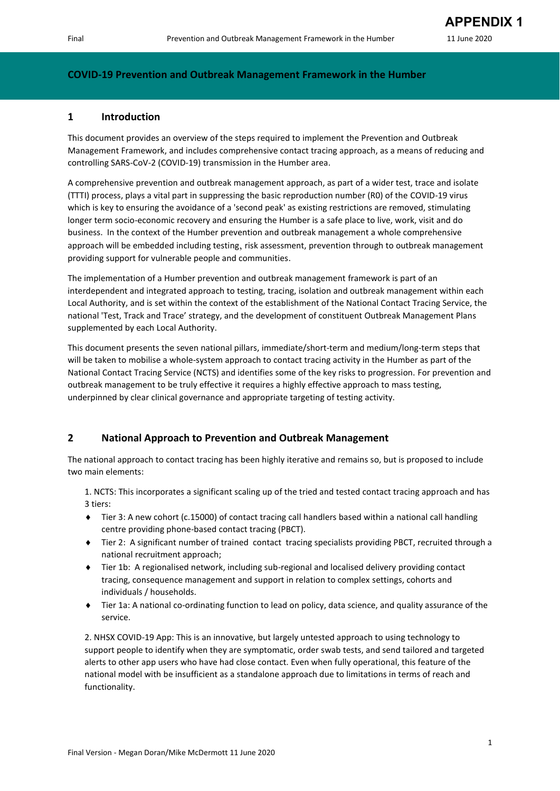#### **COVID-19 Prevention and Outbreak Management Framework in the Humber**

#### **1 Introduction**

This document provides an overview of the steps required to implement the Prevention and Outbreak Management Framework, and includes comprehensive contact tracing approach, as a means of reducing and controlling SARS-CoV-2 (COVID-19) transmission in the Humber area.

A comprehensive prevention and outbreak management approach, as part of a wider test, trace and isolate (TTTI) process, plays a vital part in suppressing the basic reproduction number (R0) of the COVID-19 virus which is key to ensuring the avoidance of a 'second peak' as existing restrictions are removed, stimulating longer term socio-economic recovery and ensuring the Humber is a safe place to live, work, visit and do business. In the context of the Humber prevention and outbreak management a whole comprehensive approach will be embedded including testing, risk assessment, prevention through to outbreak management providing support for vulnerable people and communities.

The implementation of a Humber prevention and outbreak management framework is part of an interdependent and integrated approach to testing, tracing, isolation and outbreak management within each Local Authority, and is set within the context of the establishment of the National Contact Tracing Service, the national 'Test, Track and Trace' strategy, and the development of constituent Outbreak Management Plans supplemented by each Local Authority.

This document presents the seven national pillars, immediate/short-term and medium/long-term steps that will be taken to mobilise a whole-system approach to contact tracing activity in the Humber as part of the National Contact Tracing Service (NCTS) and identifies some of the key risks to progression. For prevention and outbreak management to be truly effective it requires a highly effective approach to mass testing, underpinned by clear clinical governance and appropriate targeting of testing activity.

#### **2 National Approach to Prevention and Outbreak Management**

The national approach to contact tracing has been highly iterative and remains so, but is proposed to include two main elements:

1. NCTS: This incorporates a significant scaling up of the tried and tested contact tracing approach and has 3 tiers:

- ◆ Tier 3: A new cohort (c.15000) of contact tracing call handlers based within a national call handling centre providing phone-based contact tracing (PBCT).
- Tier 2: A significant number of trained contact tracing specialists providing PBCT, recruited through a national recruitment approach;
- Tier 1b: A regionalised network, including sub-regional and localised delivery providing contact tracing, consequence management and support in relation to complex settings, cohorts and individuals / households.
- Tier 1a: A national co-ordinating function to lead on policy, data science, and quality assurance of the service.

2. NHSX COVID-19 App: This is an innovative, but largely untested approach to using technology to support people to identify when they are symptomatic, order swab tests, and send tailored and targeted alerts to other app users who have had close contact. Even when fully operational, this feature of the national model with be insufficient as a standalone approach due to limitations in terms of reach and functionality.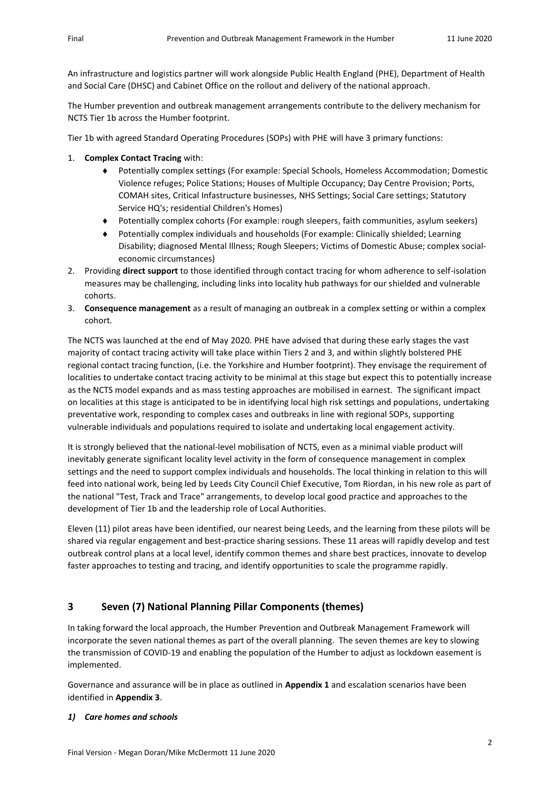An infrastructure and logistics partner will work alongside Public Health England (PHE), Department of Health and Social Care (DHSC) and Cabinet Office on the rollout and delivery of the national approach.

The Humber prevention and outbreak management arrangements contribute to the delivery mechanism for NCTS Tier 1b across the Humber footprint.

Tier 1b with agreed Standard Operating Procedures (SOPs) with PHE will have 3 primary functions:

- 1. **Complex Contact Tracing** with:
	- Potentially complex settings (For example: Special Schools, Homeless Accommodation; Domestic Violence refuges; Police Stations; Houses of Multiple Occupancy; Day Centre Provision; Ports, COMAH sites, Critical Infastructure businesses, NHS Settings; Social Care settings; Statutory Service HQ's; residential Children's Homes)
	- Potentially complex cohorts (For example: rough sleepers, faith communities, asylum seekers)
	- Potentially complex individuals and households (For example: Clinically shielded; Learning Disability; diagnosed Mental Illness; Rough Sleepers; Victims of Domestic Abuse; complex socialeconomic circumstances)
- 2. Providing **direct support** to those identified through contact tracing for whom adherence to self-isolation measures may be challenging, including links into locality hub pathways for our shielded and vulnerable cohorts.
- 3. **Consequence management** as a result of managing an outbreak in a complex setting or within a complex cohort.

The NCTS was launched at the end of May 2020. PHE have advised that during these early stages the vast majority of contact tracing activity will take place within Tiers 2 and 3, and within slightly bolstered PHE regional contact tracing function, (i.e. the Yorkshire and Humber footprint). They envisage the requirement of localities to undertake contact tracing activity to be minimal at this stage but expect this to potentially increase as the NCTS model expands and as mass testing approaches are mobilised in earnest. The significant impact on localities at this stage is anticipated to be in identifying local high risk settings and populations, undertaking preventative work, responding to complex cases and outbreaks in line with regional SOPs, supporting vulnerable individuals and populations required to isolate and undertaking local engagement activity.

It is strongly believed that the national-level mobilisation of NCTS, even as a minimal viable product will inevitably generate significant locality level activity in the form of consequence management in complex settings and the need to support complex individuals and households. The local thinking in relation to this will feed into national work, being led by Leeds City Council Chief Executive, Tom Riordan, in his new role as part of the national "Test, Track and Trace" arrangements, to develop local good practice and approaches to the development of Tier 1b and the leadership role of Local Authorities.

Eleven (11) pilot areas have been identified, our nearest being Leeds, and the learning from these pilots will be shared via regular engagement and best-practice sharing sessions. These 11 areas will rapidly develop and test outbreak control plans at a local level, identify common themes and share best practices, innovate to develop faster approaches to testing and tracing, and identify opportunities to scale the programme rapidly.

## **3 Seven (7) National Planning Pillar Components (themes)**

In taking forward the local approach, the Humber Prevention and Outbreak Management Framework will incorporate the seven national themes as part of the overall planning. The seven themes are key to slowing the transmission of COVID-19 and enabling the population of the Humber to adjust as lockdown easement is implemented.

Governance and assurance will be in place as outlined in **Appendix 1** and escalation scenarios have been identified in **Appendix 3**.

#### *1) Care homes and schools*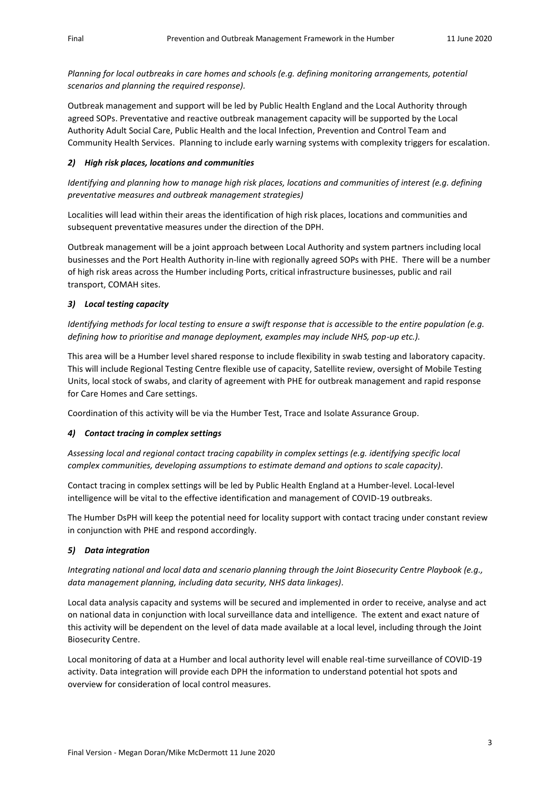*Planning for local outbreaks in care homes and schools (e.g. defining monitoring arrangements, potential scenarios and planning the required response).*

Outbreak management and support will be led by Public Health England and the Local Authority through agreed SOPs. Preventative and reactive outbreak management capacity will be supported by the Local Authority Adult Social Care, Public Health and the local Infection, Prevention and Control Team and Community Health Services. Planning to include early warning systems with complexity triggers for escalation.

#### *2) High risk places, locations and communities*

*Identifying and planning how to manage high risk places, locations and communities of interest (e.g. defining preventative measures and outbreak management strategies)*

Localities will lead within their areas the identification of high risk places, locations and communities and subsequent preventative measures under the direction of the DPH.

Outbreak management will be a joint approach between Local Authority and system partners including local businesses and the Port Health Authority in-line with regionally agreed SOPs with PHE. There will be a number of high risk areas across the Humber including Ports, critical infrastructure businesses, public and rail transport, COMAH sites.

#### *3) Local testing capacity*

*Identifying methods for local testing to ensure a swift response that is accessible to the entire population (e.g. defining how to prioritise and manage deployment, examples may include NHS, pop-up etc.).*

This area will be a Humber level shared response to include flexibility in swab testing and laboratory capacity. This will include Regional Testing Centre flexible use of capacity, Satellite review, oversight of Mobile Testing Units, local stock of swabs, and clarity of agreement with PHE for outbreak management and rapid response for Care Homes and Care settings.

Coordination of this activity will be via the Humber Test, Trace and Isolate Assurance Group.

#### *4) Contact tracing in complex settings*

*Assessing local and regional contact tracing capability in complex settings (e.g. identifying specific local complex communities, developing assumptions to estimate demand and options to scale capacity).* 

Contact tracing in complex settings will be led by Public Health England at a Humber-level. Local-level intelligence will be vital to the effective identification and management of COVID-19 outbreaks.

The Humber DsPH will keep the potential need for locality support with contact tracing under constant review in conjunction with PHE and respond accordingly.

#### *5) Data integration*

*Integrating national and local data and scenario planning through the Joint Biosecurity Centre Playbook (e.g., data management planning, including data security, NHS data linkages).*

Local data analysis capacity and systems will be secured and implemented in order to receive, analyse and act on national data in conjunction with local surveillance data and intelligence. The extent and exact nature of this activity will be dependent on the level of data made available at a local level, including through the Joint Biosecurity Centre.

Local monitoring of data at a Humber and local authority level will enable real-time surveillance of COVID-19 activity. Data integration will provide each DPH the information to understand potential hot spots and overview for consideration of local control measures.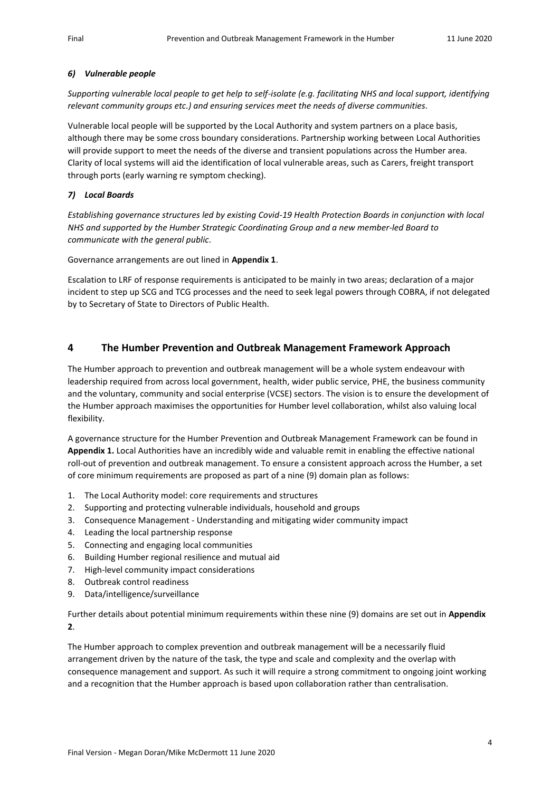#### *6) Vulnerable people*

*Supporting vulnerable local people to get help to self-isolate (e.g. facilitating NHS and local support, identifying relevant community groups etc.) and ensuring services meet the needs of diverse communities.*

Vulnerable local people will be supported by the Local Authority and system partners on a place basis, although there may be some cross boundary considerations. Partnership working between Local Authorities will provide support to meet the needs of the diverse and transient populations across the Humber area. Clarity of local systems will aid the identification of local vulnerable areas, such as Carers, freight transport through ports (early warning re symptom checking).

#### *7) Local Boards*

*Establishing governance structures led by existing Covid-19 Health Protection Boards in conjunction with local NHS and supported by the Humber Strategic Coordinating Group and a new member-led Board to communicate with the general public.*

Governance arrangements are out lined in **Appendix 1**.

Escalation to LRF of response requirements is anticipated to be mainly in two areas; declaration of a major incident to step up SCG and TCG processes and the need to seek legal powers through COBRA, if not delegated by to Secretary of State to Directors of Public Health.

#### **4 The Humber Prevention and Outbreak Management Framework Approach**

The Humber approach to prevention and outbreak management will be a whole system endeavour with leadership required from across local government, health, wider public service, PHE, the business community and the voluntary, community and social enterprise (VCSE) sectors. The vision is to ensure the development of the Humber approach maximises the opportunities for Humber level collaboration, whilst also valuing local flexibility.

A governance structure for the Humber Prevention and Outbreak Management Framework can be found in **Appendix 1.** Local Authorities have an incredibly wide and valuable remit in enabling the effective national roll-out of prevention and outbreak management. To ensure a consistent approach across the Humber, a set of core minimum requirements are proposed as part of a nine (9) domain plan as follows:

- 1. The Local Authority model: core requirements and structures
- 2. Supporting and protecting vulnerable individuals, household and groups
- 3. Consequence Management Understanding and mitigating wider community impact
- 4. Leading the local partnership response
- 5. Connecting and engaging local communities
- 6. Building Humber regional resilience and mutual aid
- 7. High-level community impact considerations
- 8. Outbreak control readiness
- 9. Data/intelligence/surveillance

Further details about potential minimum requirements within these nine (9) domains are set out in **Appendix 2**.

The Humber approach to complex prevention and outbreak management will be a necessarily fluid arrangement driven by the nature of the task, the type and scale and complexity and the overlap with consequence management and support. As such it will require a strong commitment to ongoing joint working and a recognition that the Humber approach is based upon collaboration rather than centralisation.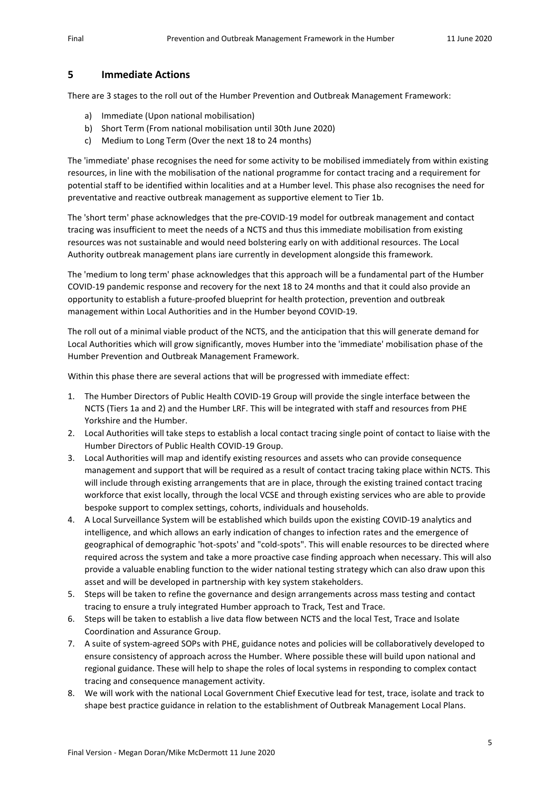#### **5 Immediate Actions**

There are 3 stages to the roll out of the Humber Prevention and Outbreak Management Framework:

- a) Immediate (Upon national mobilisation)
- b) Short Term (From national mobilisation until 30th June 2020)
- c) Medium to Long Term (Over the next 18 to 24 months)

The 'immediate' phase recognises the need for some activity to be mobilised immediately from within existing resources, in line with the mobilisation of the national programme for contact tracing and a requirement for potential staff to be identified within localities and at a Humber level. This phase also recognises the need for preventative and reactive outbreak management as supportive element to Tier 1b.

The 'short term' phase acknowledges that the pre-COVID-19 model for outbreak management and contact tracing was insufficient to meet the needs of a NCTS and thus this immediate mobilisation from existing resources was not sustainable and would need bolstering early on with additional resources. The Local Authority outbreak management plans iare currently in development alongside this framework.

The 'medium to long term' phase acknowledges that this approach will be a fundamental part of the Humber COVID-19 pandemic response and recovery for the next 18 to 24 months and that it could also provide an opportunity to establish a future-proofed blueprint for health protection, prevention and outbreak management within Local Authorities and in the Humber beyond COVID-19.

The roll out of a minimal viable product of the NCTS, and the anticipation that this will generate demand for Local Authorities which will grow significantly, moves Humber into the 'immediate' mobilisation phase of the Humber Prevention and Outbreak Management Framework.

Within this phase there are several actions that will be progressed with immediate effect:

- 1. The Humber Directors of Public Health COVID-19 Group will provide the single interface between the NCTS (Tiers 1a and 2) and the Humber LRF. This will be integrated with staff and resources from PHE Yorkshire and the Humber.
- 2. Local Authorities will take steps to establish a local contact tracing single point of contact to liaise with the Humber Directors of Public Health COVID-19 Group.
- 3. Local Authorities will map and identify existing resources and assets who can provide consequence management and support that will be required as a result of contact tracing taking place within NCTS. This will include through existing arrangements that are in place, through the existing trained contact tracing workforce that exist locally, through the local VCSE and through existing services who are able to provide bespoke support to complex settings, cohorts, individuals and households.
- 4. A Local Surveillance System will be established which builds upon the existing COVID-19 analytics and intelligence, and which allows an early indication of changes to infection rates and the emergence of geographical of demographic 'hot-spots' and "cold-spots". This will enable resources to be directed where required across the system and take a more proactive case finding approach when necessary. This will also provide a valuable enabling function to the wider national testing strategy which can also draw upon this asset and will be developed in partnership with key system stakeholders.
- 5. Steps will be taken to refine the governance and design arrangements across mass testing and contact tracing to ensure a truly integrated Humber approach to Track, Test and Trace.
- 6. Steps will be taken to establish a live data flow between NCTS and the local Test, Trace and Isolate Coordination and Assurance Group.
- 7. A suite of system-agreed SOPs with PHE, guidance notes and policies will be collaboratively developed to ensure consistency of approach across the Humber. Where possible these will build upon national and regional guidance. These will help to shape the roles of local systems in responding to complex contact tracing and consequence management activity.
- 8. We will work with the national Local Government Chief Executive lead for test, trace, isolate and track to shape best practice guidance in relation to the establishment of Outbreak Management Local Plans.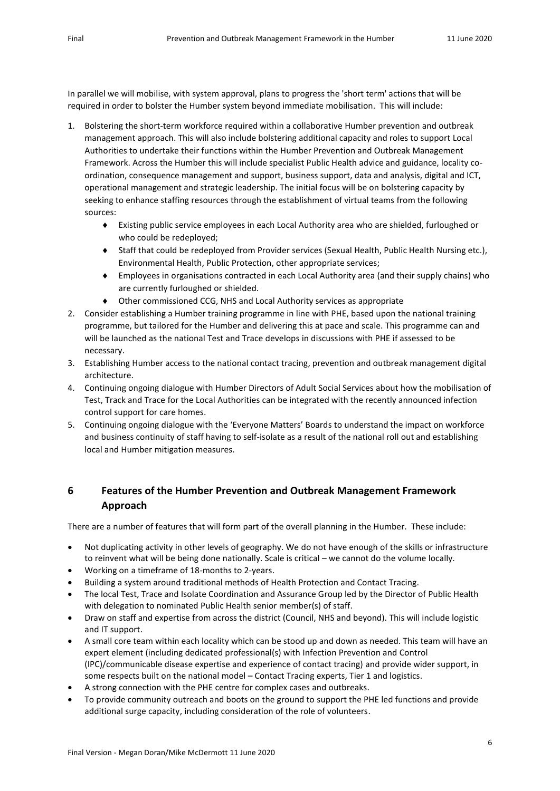In parallel we will mobilise, with system approval, plans to progress the 'short term' actions that will be required in order to bolster the Humber system beyond immediate mobilisation. This will include:

- 1. Bolstering the short-term workforce required within a collaborative Humber prevention and outbreak management approach. This will also include bolstering additional capacity and roles to support Local Authorities to undertake their functions within the Humber Prevention and Outbreak Management Framework. Across the Humber this will include specialist Public Health advice and guidance, locality coordination, consequence management and support, business support, data and analysis, digital and ICT, operational management and strategic leadership. The initial focus will be on bolstering capacity by seeking to enhance staffing resources through the establishment of virtual teams from the following sources:
	- Existing public service employees in each Local Authority area who are shielded, furloughed or who could be redeployed;
	- Staff that could be redeployed from Provider services (Sexual Health, Public Health Nursing etc.), Environmental Health, Public Protection, other appropriate services;
	- Employees in organisations contracted in each Local Authority area (and their supply chains) who are currently furloughed or shielded.
	- Other commissioned CCG, NHS and Local Authority services as appropriate
- 2. Consider establishing a Humber training programme in line with PHE, based upon the national training programme, but tailored for the Humber and delivering this at pace and scale. This programme can and will be launched as the national Test and Trace develops in discussions with PHE if assessed to be necessary.
- 3. Establishing Humber access to the national contact tracing, prevention and outbreak management digital architecture.
- 4. Continuing ongoing dialogue with Humber Directors of Adult Social Services about how the mobilisation of Test, Track and Trace for the Local Authorities can be integrated with the recently announced infection control support for care homes.
- 5. Continuing ongoing dialogue with the 'Everyone Matters' Boards to understand the impact on workforce and business continuity of staff having to self-isolate as a result of the national roll out and establishing local and Humber mitigation measures.

## **6 Features of the Humber Prevention and Outbreak Management Framework Approach**

There are a number of features that will form part of the overall planning in the Humber. These include:

- Not duplicating activity in other levels of geography. We do not have enough of the skills or infrastructure to reinvent what will be being done nationally. Scale is critical – we cannot do the volume locally.
- Working on a timeframe of 18-months to 2-years.
- Building a system around traditional methods of Health Protection and Contact Tracing.
- The local Test, Trace and Isolate Coordination and Assurance Group led by the Director of Public Health with delegation to nominated Public Health senior member(s) of staff.
- Draw on staff and expertise from across the district (Council, NHS and beyond). This will include logistic and IT support.
- A small core team within each locality which can be stood up and down as needed. This team will have an expert element (including dedicated professional(s) with Infection Prevention and Control (IPC)/communicable disease expertise and experience of contact tracing) and provide wider support, in some respects built on the national model – Contact Tracing experts, Tier 1 and logistics.
- A strong connection with the PHE centre for complex cases and outbreaks.
- To provide community outreach and boots on the ground to support the PHE led functions and provide additional surge capacity, including consideration of the role of volunteers.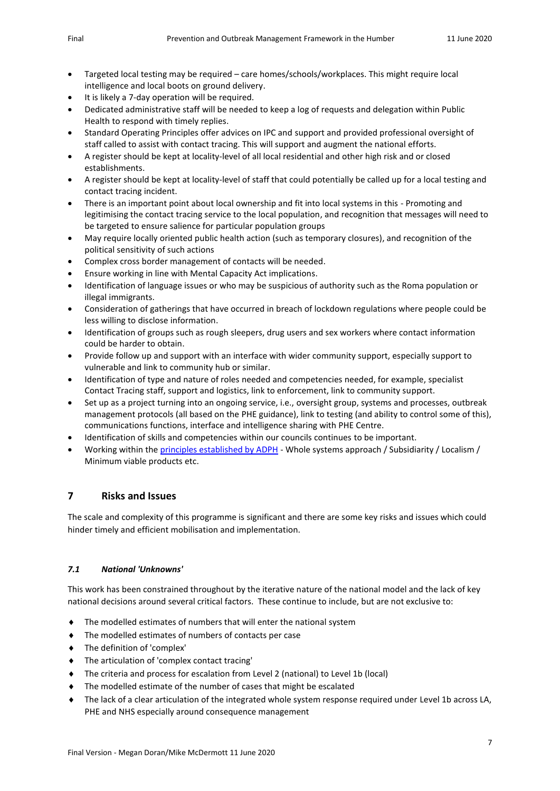- Targeted local testing may be required care homes/schools/workplaces. This might require local intelligence and local boots on ground delivery.
- It is likely a 7-day operation will be required.
- Dedicated administrative staff will be needed to keep a log of requests and delegation within Public Health to respond with timely replies.
- Standard Operating Principles offer advices on IPC and support and provided professional oversight of staff called to assist with contact tracing. This will support and augment the national efforts.
- A register should be kept at locality-level of all local residential and other high risk and or closed establishments.
- A register should be kept at locality-level of staff that could potentially be called up for a local testing and contact tracing incident.
- There is an important point about local ownership and fit into local systems in this Promoting and legitimising the contact tracing service to the local population, and recognition that messages will need to be targeted to ensure salience for particular population groups
- May require locally oriented public health action (such as temporary closures), and recognition of the political sensitivity of such actions
- Complex cross border management of contacts will be needed.
- Ensure working in line with Mental Capacity Act implications.
- Identification of language issues or who may be suspicious of authority such as the Roma population or illegal immigrants.
- Consideration of gatherings that have occurred in breach of lockdown regulations where people could be less willing to disclose information.
- Identification of groups such as rough sleepers, drug users and sex workers where contact information could be harder to obtain.
- Provide follow up and support with an interface with wider community support, especially support to vulnerable and link to community hub or similar.
- Identification of type and nature of roles needed and competencies needed, for example, specialist Contact Tracing staff, support and logistics, link to enforcement, link to community support.
- Set up as a project turning into an ongoing service, i.e., oversight group, systems and processes, outbreak management protocols (all based on th[e PHE guidance\)](https://www.gov.uk/government/publications/communicable-disease-outbreak-management-operational-guidance), link to testing (and ability to control some of this), communications functions, interface and intelligence sharing with PHE Centre.
- Identification of skills and competencies within our councils continues to be important.
- Working within th[e principles established by ADPH](https://www.adph.org.uk/wp-content/uploads/2020/05/ADPH-Statement-of-Principles-Contact-Tracing.pdf) Whole systems approach / Subsidiarity / Localism / Minimum viable products etc.

### **7 Risks and Issues**

The scale and complexity of this programme is significant and there are some key risks and issues which could hinder timely and efficient mobilisation and implementation.

#### *7.1 National 'Unknowns'*

This work has been constrained throughout by the iterative nature of the national model and the lack of key national decisions around several critical factors. These continue to include, but are not exclusive to:

- The modelled estimates of numbers that will enter the national system
- The modelled estimates of numbers of contacts per case
- The definition of 'complex'
- The articulation of 'complex contact tracing'
- The criteria and process for escalation from Level 2 (national) to Level 1b (local)
- The modelled estimate of the number of cases that might be escalated
- The lack of a clear articulation of the integrated whole system response required under Level 1b across LA, PHE and NHS especially around consequence management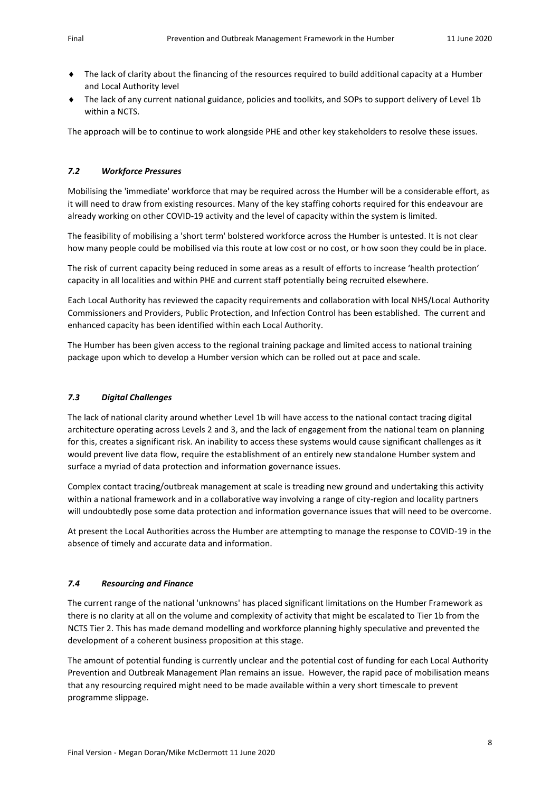- The lack of clarity about the financing of the resources required to build additional capacity at a Humber and Local Authority level
- The lack of any current national guidance, policies and toolkits, and SOPs to support delivery of Level 1b within a NCTS.

The approach will be to continue to work alongside PHE and other key stakeholders to resolve these issues.

#### *7.2 Workforce Pressures*

Mobilising the 'immediate' workforce that may be required across the Humber will be a considerable effort, as it will need to draw from existing resources. Many of the key staffing cohorts required for this endeavour are already working on other COVID-19 activity and the level of capacity within the system is limited.

The feasibility of mobilising a 'short term' bolstered workforce across the Humber is untested. It is not clear how many people could be mobilised via this route at low cost or no cost, or how soon they could be in place.

The risk of current capacity being reduced in some areas as a result of efforts to increase 'health protection' capacity in all localities and within PHE and current staff potentially being recruited elsewhere.

Each Local Authority has reviewed the capacity requirements and collaboration with local NHS/Local Authority Commissioners and Providers, Public Protection, and Infection Control has been established. The current and enhanced capacity has been identified within each Local Authority.

The Humber has been given access to the regional training package and limited access to national training package upon which to develop a Humber version which can be rolled out at pace and scale.

#### *7.3 Digital Challenges*

The lack of national clarity around whether Level 1b will have access to the national contact tracing digital architecture operating across Levels 2 and 3, and the lack of engagement from the national team on planning for this, creates a significant risk. An inability to access these systems would cause significant challenges as it would prevent live data flow, require the establishment of an entirely new standalone Humber system and surface a myriad of data protection and information governance issues.

Complex contact tracing/outbreak management at scale is treading new ground and undertaking this activity within a national framework and in a collaborative way involving a range of city-region and locality partners will undoubtedly pose some data protection and information governance issues that will need to be overcome.

At present the Local Authorities across the Humber are attempting to manage the response to COVID-19 in the absence of timely and accurate data and information.

#### *7.4 Resourcing and Finance*

The current range of the national 'unknowns' has placed significant limitations on the Humber Framework as there is no clarity at all on the volume and complexity of activity that might be escalated to Tier 1b from the NCTS Tier 2. This has made demand modelling and workforce planning highly speculative and prevented the development of a coherent business proposition at this stage.

The amount of potential funding is currently unclear and the potential cost of funding for each Local Authority Prevention and Outbreak Management Plan remains an issue. However, the rapid pace of mobilisation means that any resourcing required might need to be made available within a very short timescale to prevent programme slippage.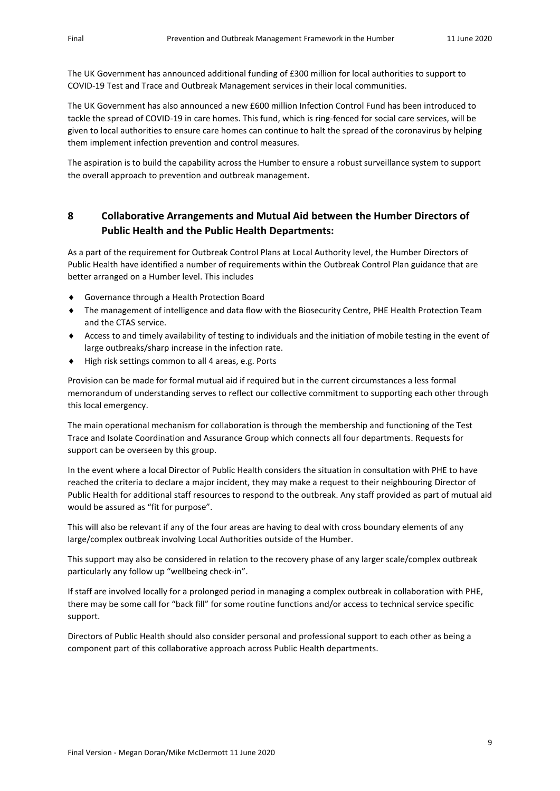The UK Government has announced additional funding of £300 million for local authorities to support to COVID-19 Test and Trace and Outbreak Management services in their local communities.

The UK Government has also announced a new £600 million Infection Control Fund has been introduced to tackle the spread of COVID-19 in care homes. This fund, which is ring-fenced for social care services, will be given to local authorities to ensure care homes can continue to halt the spread of the coronavirus by helping them implement infection prevention and control measures.

The aspiration is to build the capability across the Humber to ensure a robust surveillance system to support the overall approach to prevention and outbreak management.

## **8 Collaborative Arrangements and Mutual Aid between the Humber Directors of Public Health and the Public Health Departments:**

As a part of the requirement for Outbreak Control Plans at Local Authority level, the Humber Directors of Public Health have identified a number of requirements within the Outbreak Control Plan guidance that are better arranged on a Humber level. This includes

- Governance through a Health Protection Board
- The management of intelligence and data flow with the Biosecurity Centre, PHE Health Protection Team and the CTAS service.
- Access to and timely availability of testing to individuals and the initiation of mobile testing in the event of large outbreaks/sharp increase in the infection rate.
- ◆ High risk settings common to all 4 areas, e.g. Ports

Provision can be made for formal mutual aid if required but in the current circumstances a less formal memorandum of understanding serves to reflect our collective commitment to supporting each other through this local emergency.

The main operational mechanism for collaboration is through the membership and functioning of the Test Trace and Isolate Coordination and Assurance Group which connects all four departments. Requests for support can be overseen by this group.

In the event where a local Director of Public Health considers the situation in consultation with PHE to have reached the criteria to declare a major incident, they may make a request to their neighbouring Director of Public Health for additional staff resources to respond to the outbreak. Any staff provided as part of mutual aid would be assured as "fit for purpose".

This will also be relevant if any of the four areas are having to deal with cross boundary elements of any large/complex outbreak involving Local Authorities outside of the Humber.

This support may also be considered in relation to the recovery phase of any larger scale/complex outbreak particularly any follow up "wellbeing check-in".

If staff are involved locally for a prolonged period in managing a complex outbreak in collaboration with PHE, there may be some call for "back fill" for some routine functions and/or access to technical service specific support.

Directors of Public Health should also consider personal and professional support to each other as being a component part of this collaborative approach across Public Health departments.

9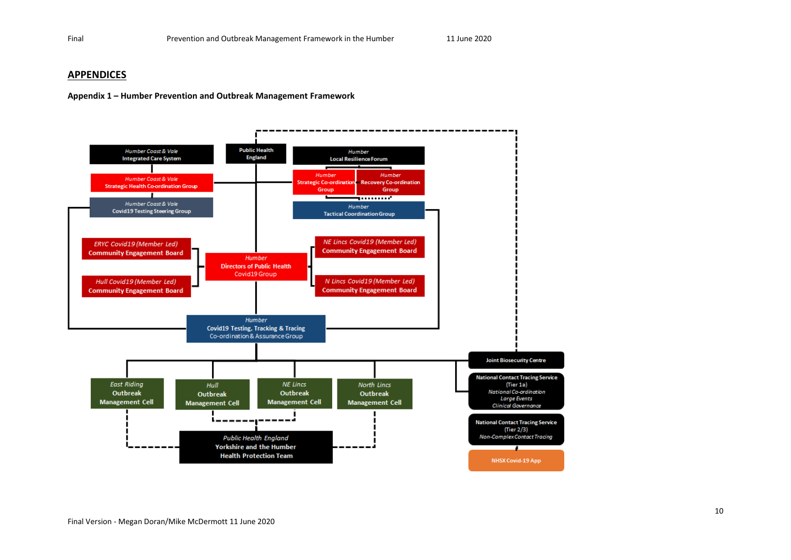#### **APPENDICES**

**Appendix 1 – Humber Prevention and Outbreak Management Framework**

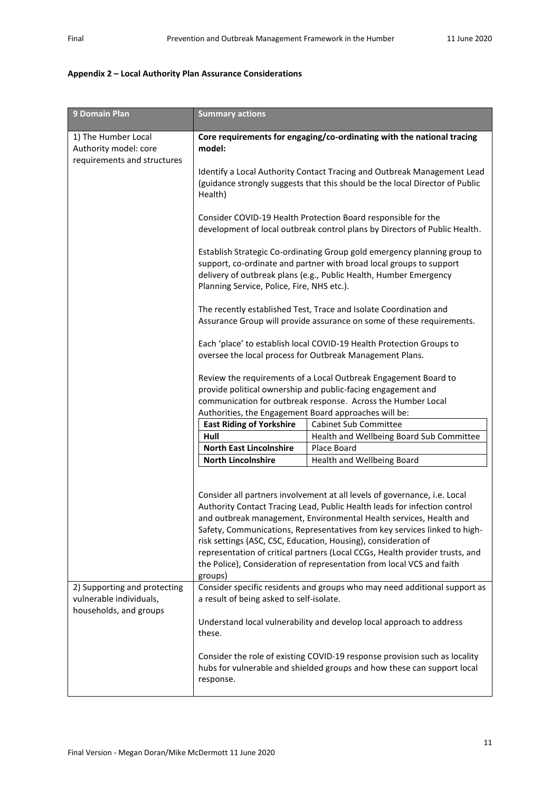### **Appendix 2 – Local Authority Plan Assurance Considerations**

| 9 Domain Plan                                                               | <b>Summary actions</b>                                                                                                                                                                                                                                             |                                                                                                                                                                                                                                                                                                                                                                                                                                                                                                                                      |  |  |
|-----------------------------------------------------------------------------|--------------------------------------------------------------------------------------------------------------------------------------------------------------------------------------------------------------------------------------------------------------------|--------------------------------------------------------------------------------------------------------------------------------------------------------------------------------------------------------------------------------------------------------------------------------------------------------------------------------------------------------------------------------------------------------------------------------------------------------------------------------------------------------------------------------------|--|--|
| 1) The Humber Local<br>Authority model: core<br>requirements and structures | Core requirements for engaging/co-ordinating with the national tracing<br>model:                                                                                                                                                                                   |                                                                                                                                                                                                                                                                                                                                                                                                                                                                                                                                      |  |  |
|                                                                             | Identify a Local Authority Contact Tracing and Outbreak Management Lead<br>(guidance strongly suggests that this should be the local Director of Public<br>Health)                                                                                                 |                                                                                                                                                                                                                                                                                                                                                                                                                                                                                                                                      |  |  |
|                                                                             |                                                                                                                                                                                                                                                                    | Consider COVID-19 Health Protection Board responsible for the<br>development of local outbreak control plans by Directors of Public Health.                                                                                                                                                                                                                                                                                                                                                                                          |  |  |
|                                                                             | Establish Strategic Co-ordinating Group gold emergency planning group to<br>support, co-ordinate and partner with broad local groups to support<br>delivery of outbreak plans (e.g., Public Health, Humber Emergency<br>Planning Service, Police, Fire, NHS etc.). |                                                                                                                                                                                                                                                                                                                                                                                                                                                                                                                                      |  |  |
|                                                                             |                                                                                                                                                                                                                                                                    | The recently established Test, Trace and Isolate Coordination and<br>Assurance Group will provide assurance on some of these requirements.                                                                                                                                                                                                                                                                                                                                                                                           |  |  |
|                                                                             | Each 'place' to establish local COVID-19 Health Protection Groups to<br>oversee the local process for Outbreak Management Plans.                                                                                                                                   |                                                                                                                                                                                                                                                                                                                                                                                                                                                                                                                                      |  |  |
|                                                                             | Review the requirements of a Local Outbreak Engagement Board to<br>provide political ownership and public-facing engagement and<br>communication for outbreak response. Across the Humber Local                                                                    |                                                                                                                                                                                                                                                                                                                                                                                                                                                                                                                                      |  |  |
|                                                                             | Authorities, the Engagement Board approaches will be:                                                                                                                                                                                                              |                                                                                                                                                                                                                                                                                                                                                                                                                                                                                                                                      |  |  |
|                                                                             | <b>East Riding of Yorkshire</b>                                                                                                                                                                                                                                    | Cabinet Sub Committee                                                                                                                                                                                                                                                                                                                                                                                                                                                                                                                |  |  |
|                                                                             | Hull                                                                                                                                                                                                                                                               | Health and Wellbeing Board Sub Committee                                                                                                                                                                                                                                                                                                                                                                                                                                                                                             |  |  |
|                                                                             | <b>North East Lincolnshire</b>                                                                                                                                                                                                                                     | Place Board                                                                                                                                                                                                                                                                                                                                                                                                                                                                                                                          |  |  |
|                                                                             | <b>North Lincolnshire</b>                                                                                                                                                                                                                                          | Health and Wellbeing Board                                                                                                                                                                                                                                                                                                                                                                                                                                                                                                           |  |  |
|                                                                             | groups)                                                                                                                                                                                                                                                            | Consider all partners involvement at all levels of governance, i.e. Local<br>Authority Contact Tracing Lead, Public Health leads for infection control<br>and outbreak management, Environmental Health services, Health and<br>Safety, Communications, Representatives from key services linked to high-<br>risk settings (ASC, CSC, Education, Housing), consideration of<br>representation of critical partners (Local CCGs, Health provider trusts, and<br>the Police), Consideration of representation from local VCS and faith |  |  |
| 2) Supporting and protecting<br>vulnerable individuals,                     | a result of being asked to self-isolate.                                                                                                                                                                                                                           | Consider specific residents and groups who may need additional support as                                                                                                                                                                                                                                                                                                                                                                                                                                                            |  |  |
| households, and groups                                                      | these.                                                                                                                                                                                                                                                             | Understand local vulnerability and develop local approach to address                                                                                                                                                                                                                                                                                                                                                                                                                                                                 |  |  |
|                                                                             | response.                                                                                                                                                                                                                                                          | Consider the role of existing COVID-19 response provision such as locality<br>hubs for vulnerable and shielded groups and how these can support local                                                                                                                                                                                                                                                                                                                                                                                |  |  |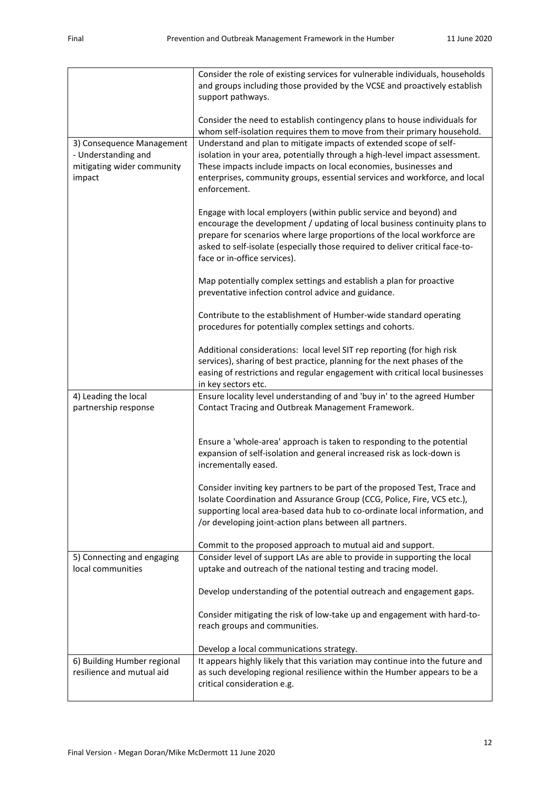|                                                                                          | Consider the role of existing services for vulnerable individuals, households<br>and groups including those provided by the VCSE and proactively establish<br>support pathways.                                                                                                                                                                             |
|------------------------------------------------------------------------------------------|-------------------------------------------------------------------------------------------------------------------------------------------------------------------------------------------------------------------------------------------------------------------------------------------------------------------------------------------------------------|
|                                                                                          | Consider the need to establish contingency plans to house individuals for<br>whom self-isolation requires them to move from their primary household.                                                                                                                                                                                                        |
| 3) Consequence Management<br>- Understanding and<br>mitigating wider community<br>impact | Understand and plan to mitigate impacts of extended scope of self-<br>isolation in your area, potentially through a high-level impact assessment.<br>These impacts include impacts on local economies, businesses and<br>enterprises, community groups, essential services and workforce, and local<br>enforcement.                                         |
|                                                                                          | Engage with local employers (within public service and beyond) and<br>encourage the development / updating of local business continuity plans to<br>prepare for scenarios where large proportions of the local workforce are<br>asked to self-isolate (especially those required to deliver critical face-to-<br>face or in-office services).               |
|                                                                                          | Map potentially complex settings and establish a plan for proactive<br>preventative infection control advice and guidance.                                                                                                                                                                                                                                  |
|                                                                                          | Contribute to the establishment of Humber-wide standard operating<br>procedures for potentially complex settings and cohorts.                                                                                                                                                                                                                               |
|                                                                                          | Additional considerations: local level SIT rep reporting (for high risk<br>services), sharing of best practice, planning for the next phases of the<br>easing of restrictions and regular engagement with critical local businesses<br>in key sectors etc.                                                                                                  |
| 4) Leading the local<br>partnership response                                             | Ensure locality level understanding of and 'buy in' to the agreed Humber<br>Contact Tracing and Outbreak Management Framework.                                                                                                                                                                                                                              |
|                                                                                          | Ensure a 'whole-area' approach is taken to responding to the potential<br>expansion of self-isolation and general increased risk as lock-down is<br>incrementally eased.                                                                                                                                                                                    |
|                                                                                          | Consider inviting key partners to be part of the proposed Test, Trace and<br>Isolate Coordination and Assurance Group (CCG, Police, Fire, VCS etc.),<br>supporting local area-based data hub to co-ordinate local information, and<br>/or developing joint-action plans between all partners.<br>Commit to the proposed approach to mutual aid and support. |
| 5) Connecting and engaging                                                               | Consider level of support LAs are able to provide in supporting the local                                                                                                                                                                                                                                                                                   |
| local communities                                                                        | uptake and outreach of the national testing and tracing model.                                                                                                                                                                                                                                                                                              |
|                                                                                          | Develop understanding of the potential outreach and engagement gaps.                                                                                                                                                                                                                                                                                        |
|                                                                                          | Consider mitigating the risk of low-take up and engagement with hard-to-<br>reach groups and communities.                                                                                                                                                                                                                                                   |
|                                                                                          | Develop a local communications strategy.                                                                                                                                                                                                                                                                                                                    |
| 6) Building Humber regional<br>resilience and mutual aid                                 | It appears highly likely that this variation may continue into the future and<br>as such developing regional resilience within the Humber appears to be a<br>critical consideration e.g.                                                                                                                                                                    |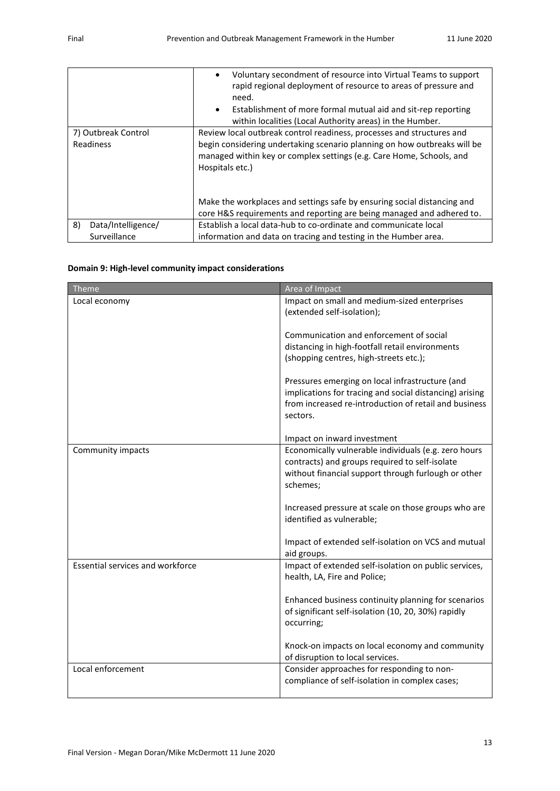|                          | Voluntary secondment of resource into Virtual Teams to support<br>$\bullet$<br>rapid regional deployment of resource to areas of pressure and<br>need.<br>Establishment of more formal mutual aid and sit-rep reporting<br>$\bullet$<br>within localities (Local Authority areas) in the Humber. |
|--------------------------|--------------------------------------------------------------------------------------------------------------------------------------------------------------------------------------------------------------------------------------------------------------------------------------------------|
| 7) Outbreak Control      | Review local outbreak control readiness, processes and structures and                                                                                                                                                                                                                            |
| Readiness                | begin considering undertaking scenario planning on how outbreaks will be<br>managed within key or complex settings (e.g. Care Home, Schools, and<br>Hospitals etc.)                                                                                                                              |
|                          | Make the workplaces and settings safe by ensuring social distancing and                                                                                                                                                                                                                          |
|                          | core H&S requirements and reporting are being managed and adhered to.                                                                                                                                                                                                                            |
| 8)<br>Data/Intelligence/ | Establish a local data-hub to co-ordinate and communicate local                                                                                                                                                                                                                                  |
| Surveillance             | information and data on tracing and testing in the Humber area.                                                                                                                                                                                                                                  |

#### **Domain 9: High-level community impact considerations**

| <b>Theme</b>                            | Area of Impact                                          |
|-----------------------------------------|---------------------------------------------------------|
|                                         |                                                         |
| Local economy                           | Impact on small and medium-sized enterprises            |
|                                         | (extended self-isolation);                              |
|                                         |                                                         |
|                                         | Communication and enforcement of social                 |
|                                         | distancing in high-footfall retail environments         |
|                                         | (shopping centres, high-streets etc.);                  |
|                                         |                                                         |
|                                         | Pressures emerging on local infrastructure (and         |
|                                         | implications for tracing and social distancing) arising |
|                                         | from increased re-introduction of retail and business   |
|                                         | sectors.                                                |
|                                         |                                                         |
|                                         | Impact on inward investment                             |
| Community impacts                       | Economically vulnerable individuals (e.g. zero hours    |
|                                         | contracts) and groups required to self-isolate          |
|                                         | without financial support through furlough or other     |
|                                         | schemes;                                                |
|                                         |                                                         |
|                                         | Increased pressure at scale on those groups who are     |
|                                         | identified as vulnerable;                               |
|                                         |                                                         |
|                                         | Impact of extended self-isolation on VCS and mutual     |
|                                         | aid groups.                                             |
| <b>Essential services and workforce</b> | Impact of extended self-isolation on public services,   |
|                                         | health, LA, Fire and Police;                            |
|                                         |                                                         |
|                                         | Enhanced business continuity planning for scenarios     |
|                                         | of significant self-isolation (10, 20, 30%) rapidly     |
|                                         | occurring;                                              |
|                                         |                                                         |
|                                         | Knock-on impacts on local economy and community         |
|                                         |                                                         |
|                                         | of disruption to local services.                        |
| Local enforcement                       | Consider approaches for responding to non-              |
|                                         | compliance of self-isolation in complex cases;          |
|                                         |                                                         |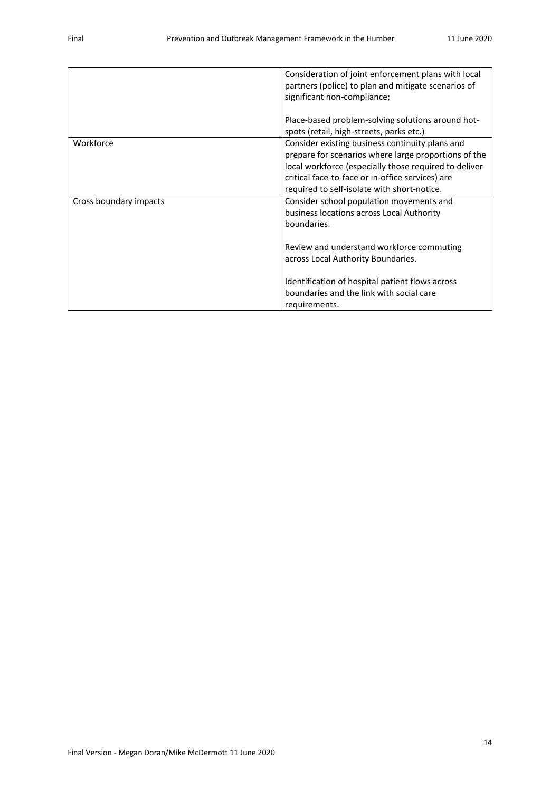|                        | Consideration of joint enforcement plans with local<br>partners (police) to plan and mitigate scenarios of<br>significant non-compliance;                                                                                                                           |
|------------------------|---------------------------------------------------------------------------------------------------------------------------------------------------------------------------------------------------------------------------------------------------------------------|
|                        | Place-based problem-solving solutions around hot-<br>spots (retail, high-streets, parks etc.)                                                                                                                                                                       |
| Workforce              | Consider existing business continuity plans and<br>prepare for scenarios where large proportions of the<br>local workforce (especially those required to deliver<br>critical face-to-face or in-office services) are<br>required to self-isolate with short-notice. |
| Cross boundary impacts | Consider school population movements and<br>business locations across Local Authority<br>boundaries.<br>Review and understand workforce commuting                                                                                                                   |
|                        | across Local Authority Boundaries.<br>Identification of hospital patient flows across<br>boundaries and the link with social care<br>requirements.                                                                                                                  |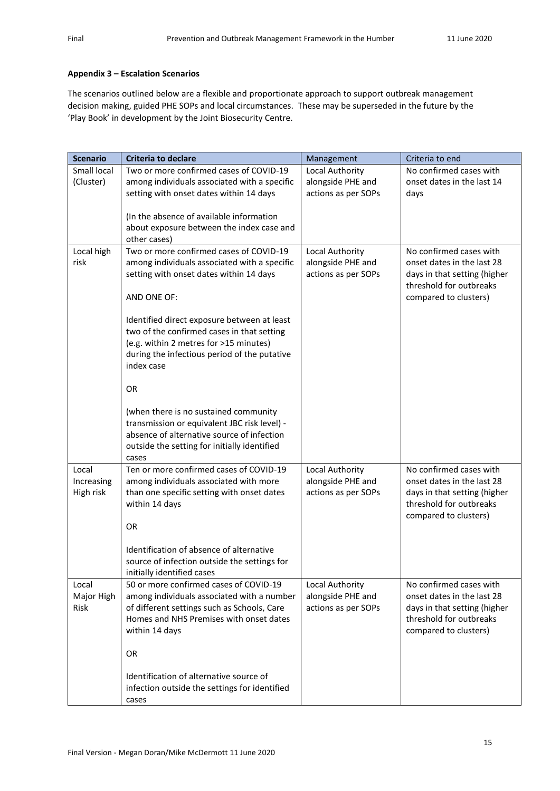### **Appendix 3 – Escalation Scenarios**

The scenarios outlined below are a flexible and proportionate approach to support outbreak management decision making, guided PHE SOPs and local circumstances. These may be superseded in the future by the 'Play Book' in development by the Joint Biosecurity Centre.

| <b>Scenario</b> | <b>Criteria to declare</b>                                                             | Management          | Criteria to end              |
|-----------------|----------------------------------------------------------------------------------------|---------------------|------------------------------|
| Small local     | Two or more confirmed cases of COVID-19                                                | Local Authority     | No confirmed cases with      |
| (Cluster)       | among individuals associated with a specific                                           | alongside PHE and   | onset dates in the last 14   |
|                 | setting with onset dates within 14 days                                                | actions as per SOPs | days                         |
|                 |                                                                                        |                     |                              |
|                 | (In the absence of available information                                               |                     |                              |
|                 | about exposure between the index case and                                              |                     |                              |
|                 | other cases)                                                                           |                     |                              |
| Local high      | Two or more confirmed cases of COVID-19                                                | Local Authority     | No confirmed cases with      |
| risk            | among individuals associated with a specific                                           | alongside PHE and   | onset dates in the last 28   |
|                 | setting with onset dates within 14 days                                                | actions as per SOPs | days in that setting (higher |
|                 |                                                                                        |                     | threshold for outbreaks      |
|                 | AND ONE OF:                                                                            |                     | compared to clusters)        |
|                 |                                                                                        |                     |                              |
|                 | Identified direct exposure between at least                                            |                     |                              |
|                 | two of the confirmed cases in that setting                                             |                     |                              |
|                 | (e.g. within 2 metres for >15 minutes)                                                 |                     |                              |
|                 | during the infectious period of the putative                                           |                     |                              |
|                 | index case                                                                             |                     |                              |
|                 | OR                                                                                     |                     |                              |
|                 |                                                                                        |                     |                              |
|                 | (when there is no sustained community                                                  |                     |                              |
|                 | transmission or equivalent JBC risk level) -                                           |                     |                              |
|                 | absence of alternative source of infection                                             |                     |                              |
|                 | outside the setting for initially identified                                           |                     |                              |
|                 | cases                                                                                  |                     |                              |
| Local           | Ten or more confirmed cases of COVID-19                                                | Local Authority     | No confirmed cases with      |
| Increasing      | among individuals associated with more                                                 | alongside PHE and   | onset dates in the last 28   |
| High risk       | than one specific setting with onset dates                                             | actions as per SOPs | days in that setting (higher |
|                 | within 14 days                                                                         |                     | threshold for outbreaks      |
|                 |                                                                                        |                     | compared to clusters)        |
|                 | OR                                                                                     |                     |                              |
|                 |                                                                                        |                     |                              |
|                 | Identification of absence of alternative                                               |                     |                              |
|                 | source of infection outside the settings for                                           |                     |                              |
|                 | initially identified cases                                                             |                     |                              |
| Local           | 50 or more confirmed cases of COVID-19                                                 | Local Authority     | No confirmed cases with      |
| Major High      | among individuals associated with a number                                             | alongside PHE and   | onset dates in the last 28   |
| Risk            | of different settings such as Schools, Care<br>Homes and NHS Premises with onset dates | actions as per SOPs | days in that setting (higher |
|                 |                                                                                        |                     | threshold for outbreaks      |
|                 | within 14 days                                                                         |                     | compared to clusters)        |
|                 | OR                                                                                     |                     |                              |
|                 |                                                                                        |                     |                              |
|                 | Identification of alternative source of                                                |                     |                              |
|                 | infection outside the settings for identified                                          |                     |                              |
|                 | cases                                                                                  |                     |                              |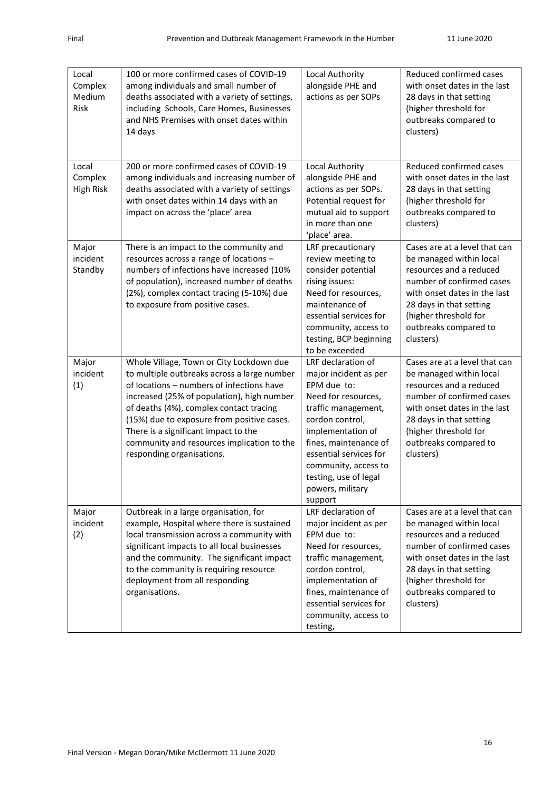| Local<br>Complex<br>Medium<br>Risk   | 100 or more confirmed cases of COVID-19<br>among individuals and small number of<br>deaths associated with a variety of settings,<br>including Schools, Care Homes, Businesses<br>and NHS Premises with onset dates within<br>14 days                                                                                                                                                          | Local Authority<br>alongside PHE and<br>actions as per SOPs                                                                                                                                                                                                                         | Reduced confirmed cases<br>with onset dates in the last<br>28 days in that setting<br>(higher threshold for<br>outbreaks compared to<br>clusters)                                                                                          |
|--------------------------------------|------------------------------------------------------------------------------------------------------------------------------------------------------------------------------------------------------------------------------------------------------------------------------------------------------------------------------------------------------------------------------------------------|-------------------------------------------------------------------------------------------------------------------------------------------------------------------------------------------------------------------------------------------------------------------------------------|--------------------------------------------------------------------------------------------------------------------------------------------------------------------------------------------------------------------------------------------|
| Local<br>Complex<br><b>High Risk</b> | 200 or more confirmed cases of COVID-19<br>among individuals and increasing number of<br>deaths associated with a variety of settings<br>with onset dates within 14 days with an<br>impact on across the 'place' area                                                                                                                                                                          | Local Authority<br>alongside PHE and<br>actions as per SOPs.<br>Potential request for<br>mutual aid to support<br>in more than one<br>'place' area.                                                                                                                                 | Reduced confirmed cases<br>with onset dates in the last<br>28 days in that setting<br>(higher threshold for<br>outbreaks compared to<br>clusters)                                                                                          |
| Major<br>incident<br>Standby         | There is an impact to the community and<br>resources across a range of locations -<br>numbers of infections have increased (10%<br>of population), increased number of deaths<br>(2%), complex contact tracing (5-10%) due<br>to exposure from positive cases.                                                                                                                                 | LRF precautionary<br>review meeting to<br>consider potential<br>rising issues:<br>Need for resources,<br>maintenance of<br>essential services for<br>community, access to<br>testing, BCP beginning<br>to be exceeded                                                               | Cases are at a level that can<br>be managed within local<br>resources and a reduced<br>number of confirmed cases<br>with onset dates in the last<br>28 days in that setting<br>(higher threshold for<br>outbreaks compared to<br>clusters) |
| Major<br>incident<br>(1)             | Whole Village, Town or City Lockdown due<br>to multiple outbreaks across a large number<br>of locations - numbers of infections have<br>increased (25% of population), high number<br>of deaths (4%), complex contact tracing<br>(15%) due to exposure from positive cases.<br>There is a significant impact to the<br>community and resources implication to the<br>responding organisations. | LRF declaration of<br>major incident as per<br>EPM due to:<br>Need for resources,<br>traffic management,<br>cordon control,<br>implementation of<br>fines, maintenance of<br>essential services for<br>community, access to<br>testing, use of legal<br>powers, military<br>support | Cases are at a level that can<br>be managed within local<br>resources and a reduced<br>number of confirmed cases<br>with onset dates in the last<br>28 days in that setting<br>(higher threshold for<br>outbreaks compared to<br>clusters) |
| Major<br>incident<br>(2)             | Outbreak in a large organisation, for<br>example, Hospital where there is sustained<br>local transmission across a community with<br>significant impacts to all local businesses<br>and the community. The significant impact<br>to the community is requiring resource<br>deployment from all responding<br>organisations.                                                                    | LRF declaration of<br>major incident as per<br>EPM due to:<br>Need for resources,<br>traffic management,<br>cordon control,<br>implementation of<br>fines, maintenance of<br>essential services for<br>community, access to<br>testing,                                             | Cases are at a level that can<br>be managed within local<br>resources and a reduced<br>number of confirmed cases<br>with onset dates in the last<br>28 days in that setting<br>(higher threshold for<br>outbreaks compared to<br>clusters) |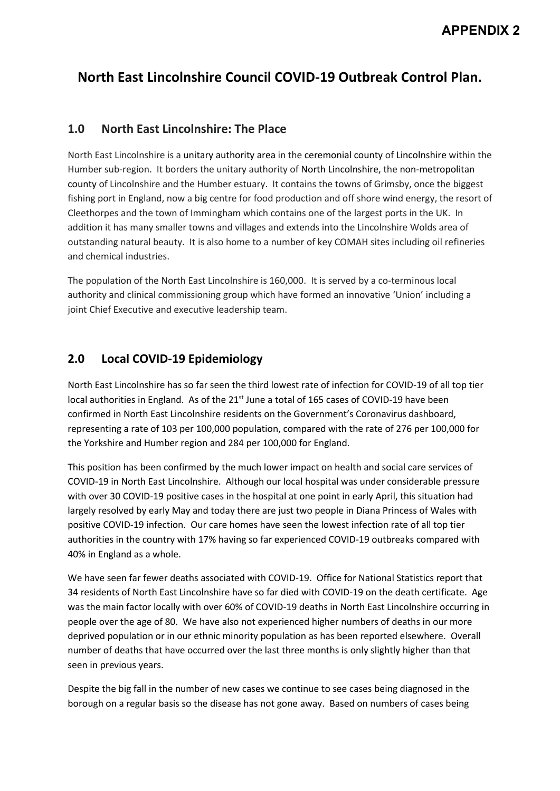# **North East Lincolnshire Council COVID-19 Outbreak Control Plan.**

## **1.0 North East Lincolnshire: The Place**

North East Lincolnshire is a unitary authority area in the ceremonial county of Lincolnshire within the Humber sub-region. It borders the unitary authority of North Lincolnshire, the non-metropolitan county of Lincolnshire and the Humber estuary. It contains the towns of Grimsby, once the biggest fishing port in England, now a big centre for food production and off shore wind energy, the resort of Cleethorpes and the town of Immingham which contains one of the largest ports in the UK. In addition it has many smaller towns and villages and extends into the Lincolnshire Wolds area of outstanding natural beauty. It is also home to a number of key COMAH sites including oil refineries and chemical industries.

The population of the North East Lincolnshire is 160,000. It is served by a co-terminous local authority and clinical commissioning group which have formed an innovative 'Union' including a joint Chief Executive and executive leadership team.

# **2.0 Local COVID-19 Epidemiology**

North East Lincolnshire has so far seen the third lowest rate of infection for COVID-19 of all top tier local authorities in England. As of the 21<sup>st</sup> June a total of 165 cases of COVID-19 have been confirmed in North East Lincolnshire residents on the Government's Coronavirus dashboard, representing a rate of 103 per 100,000 population, compared with the rate of 276 per 100,000 for the Yorkshire and Humber region and 284 per 100,000 for England.

This position has been confirmed by the much lower impact on health and social care services of COVID-19 in North East Lincolnshire. Although our local hospital was under considerable pressure with over 30 COVID-19 positive cases in the hospital at one point in early April, this situation had largely resolved by early May and today there are just two people in Diana Princess of Wales with positive COVID-19 infection. Our care homes have seen the lowest infection rate of all top tier authorities in the country with 17% having so far experienced COVID-19 outbreaks compared with 40% in England as a whole.

We have seen far fewer deaths associated with COVID-19. Office for National Statistics report that 34 residents of North East Lincolnshire have so far died with COVID-19 on the death certificate. Age was the main factor locally with over 60% of COVID-19 deaths in North East Lincolnshire occurring in people over the age of 80. We have also not experienced higher numbers of deaths in our more deprived population or in our ethnic minority population as has been reported elsewhere. Overall number of deaths that have occurred over the last three months is only slightly higher than that seen in previous years.

Despite the big fall in the number of new cases we continue to see cases being diagnosed in the borough on a regular basis so the disease has not gone away. Based on numbers of cases being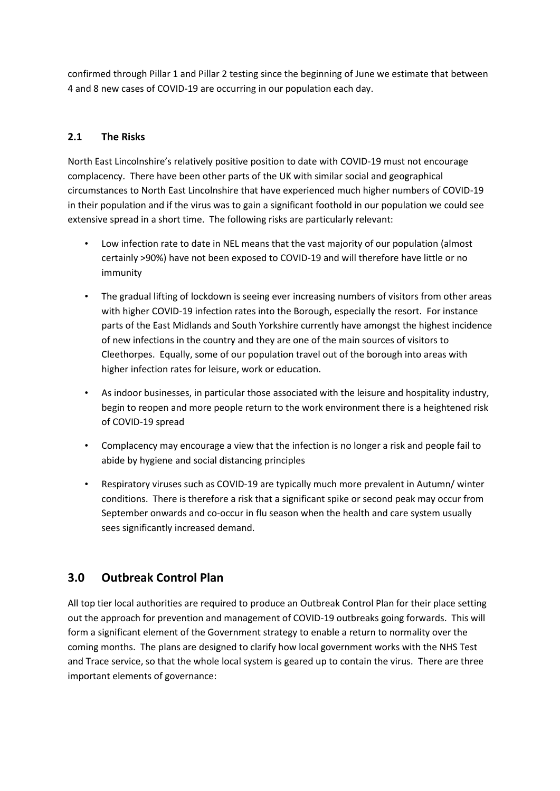confirmed through Pillar 1 and Pillar 2 testing since the beginning of June we estimate that between 4 and 8 new cases of COVID-19 are occurring in our population each day.

## **2.1 The Risks**

North East Lincolnshire's relatively positive position to date with COVID-19 must not encourage complacency. There have been other parts of the UK with similar social and geographical circumstances to North East Lincolnshire that have experienced much higher numbers of COVID-19 in their population and if the virus was to gain a significant foothold in our population we could see extensive spread in a short time. The following risks are particularly relevant:

- Low infection rate to date in NEL means that the vast majority of our population (almost certainly >90%) have not been exposed to COVID-19 and will therefore have little or no immunity
- The gradual lifting of lockdown is seeing ever increasing numbers of visitors from other areas with higher COVID-19 infection rates into the Borough, especially the resort. For instance parts of the East Midlands and South Yorkshire currently have amongst the highest incidence of new infections in the country and they are one of the main sources of visitors to Cleethorpes. Equally, some of our population travel out of the borough into areas with higher infection rates for leisure, work or education.
- As indoor businesses, in particular those associated with the leisure and hospitality industry, begin to reopen and more people return to the work environment there is a heightened risk of COVID-19 spread
- Complacency may encourage a view that the infection is no longer a risk and people fail to abide by hygiene and social distancing principles
- Respiratory viruses such as COVID-19 are typically much more prevalent in Autumn/ winter conditions. There is therefore a risk that a significant spike or second peak may occur from September onwards and co-occur in flu season when the health and care system usually sees significantly increased demand.

## **3.0 Outbreak Control Plan**

All top tier local authorities are required to produce an Outbreak Control Plan for their place setting out the approach for prevention and management of COVID-19 outbreaks going forwards. This will form a significant element of the Government strategy to enable a return to normality over the coming months. The plans are designed to clarify how local government works with the NHS Test and Trace service, so that the whole local system is geared up to contain the virus. There are three important elements of governance: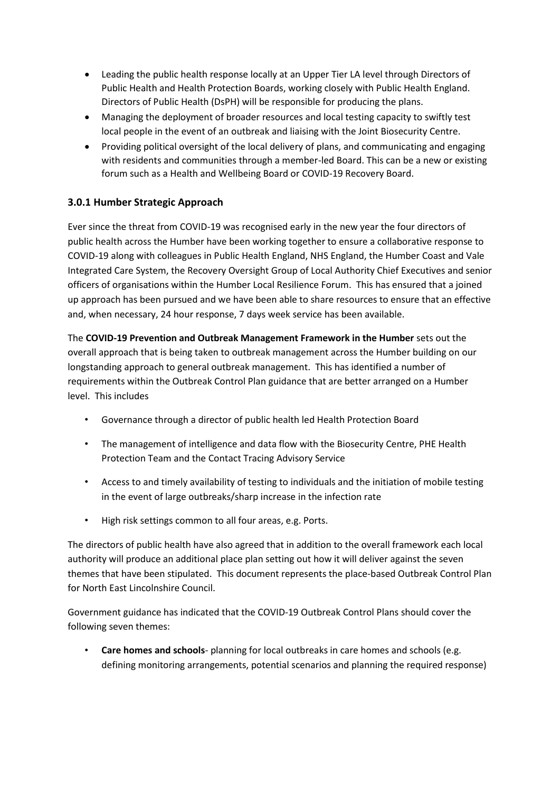- Leading the public health response locally at an Upper Tier LA level through Directors of Public Health and Health Protection Boards, working closely with Public Health England. Directors of Public Health (DsPH) will be responsible for producing the plans.
- Managing the deployment of broader resources and local testing capacity to swiftly test local people in the event of an outbreak and liaising with the Joint Biosecurity Centre.
- Providing political oversight of the local delivery of plans, and communicating and engaging with residents and communities through a member-led Board. This can be a new or existing forum such as a Health and Wellbeing Board or COVID-19 Recovery Board.

## **3.0.1 Humber Strategic Approach**

Ever since the threat from COVID-19 was recognised early in the new year the four directors of public health across the Humber have been working together to ensure a collaborative response to COVID-19 along with colleagues in Public Health England, NHS England, the Humber Coast and Vale Integrated Care System, the Recovery Oversight Group of Local Authority Chief Executives and senior officers of organisations within the Humber Local Resilience Forum. This has ensured that a joined up approach has been pursued and we have been able to share resources to ensure that an effective and, when necessary, 24 hour response, 7 days week service has been available.

The **COVID-19 Prevention and Outbreak Management Framework in the Humber** sets out the overall approach that is being taken to outbreak management across the Humber building on our longstanding approach to general outbreak management. This has identified a number of requirements within the Outbreak Control Plan guidance that are better arranged on a Humber level. This includes

- Governance through a director of public health led Health Protection Board
- The management of intelligence and data flow with the Biosecurity Centre, PHE Health Protection Team and the Contact Tracing Advisory Service
- Access to and timely availability of testing to individuals and the initiation of mobile testing in the event of large outbreaks/sharp increase in the infection rate
- High risk settings common to all four areas, e.g. Ports.

The directors of public health have also agreed that in addition to the overall framework each local authority will produce an additional place plan setting out how it will deliver against the seven themes that have been stipulated. This document represents the place-based Outbreak Control Plan for North East Lincolnshire Council.

Government guidance has indicated that the COVID-19 Outbreak Control Plans should cover the following seven themes:

• **Care homes and schools**- planning for local outbreaks in care homes and schools (e.g. defining monitoring arrangements, potential scenarios and planning the required response)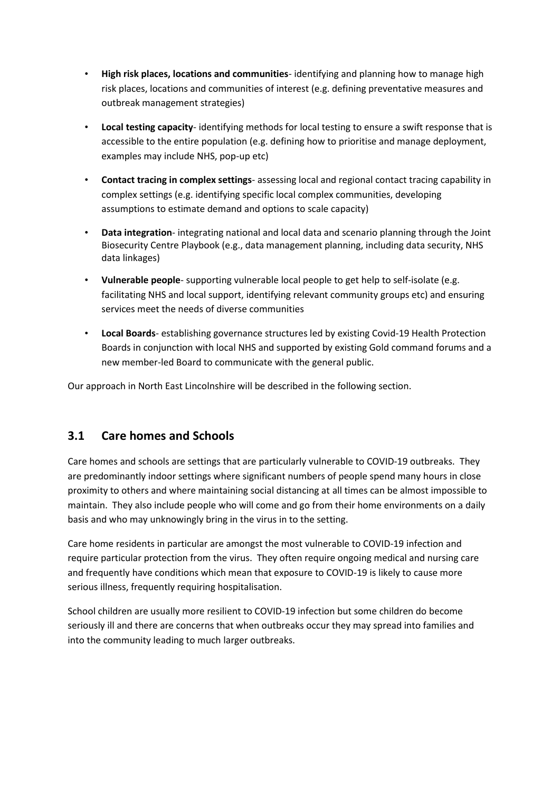- **High risk places, locations and communities** identifying and planning how to manage high risk places, locations and communities of interest (e.g. defining preventative measures and outbreak management strategies)
- **Local testing capacity** identifying methods for local testing to ensure a swift response that is accessible to the entire population (e.g. defining how to prioritise and manage deployment, examples may include NHS, pop-up etc)
- **Contact tracing in complex settings** assessing local and regional contact tracing capability in complex settings (e.g. identifying specific local complex communities, developing assumptions to estimate demand and options to scale capacity)
- **Data integration** integrating national and local data and scenario planning through the Joint Biosecurity Centre Playbook (e.g., data management planning, including data security, NHS data linkages)
- **Vulnerable people** supporting vulnerable local people to get help to self-isolate (e.g. facilitating NHS and local support, identifying relevant community groups etc) and ensuring services meet the needs of diverse communities
- **Local Boards** establishing governance structures led by existing Covid-19 Health Protection Boards in conjunction with local NHS and supported by existing Gold command forums and a new member-led Board to communicate with the general public.

Our approach in North East Lincolnshire will be described in the following section.

# **3.1 Care homes and Schools**

Care homes and schools are settings that are particularly vulnerable to COVID-19 outbreaks. They are predominantly indoor settings where significant numbers of people spend many hours in close proximity to others and where maintaining social distancing at all times can be almost impossible to maintain. They also include people who will come and go from their home environments on a daily basis and who may unknowingly bring in the virus in to the setting.

Care home residents in particular are amongst the most vulnerable to COVID-19 infection and require particular protection from the virus. They often require ongoing medical and nursing care and frequently have conditions which mean that exposure to COVID-19 is likely to cause more serious illness, frequently requiring hospitalisation.

School children are usually more resilient to COVID-19 infection but some children do become seriously ill and there are concerns that when outbreaks occur they may spread into families and into the community leading to much larger outbreaks.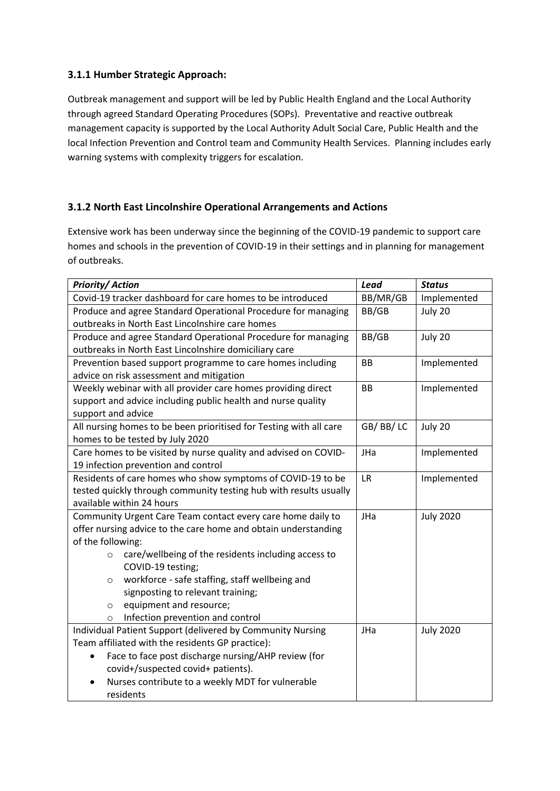## **3.1.1 Humber Strategic Approach:**

Outbreak management and support will be led by Public Health England and the Local Authority through agreed Standard Operating Procedures (SOPs). Preventative and reactive outbreak management capacity is supported by the Local Authority Adult Social Care, Public Health and the local Infection Prevention and Control team and Community Health Services. Planning includes early warning systems with complexity triggers for escalation.

## **3.1.2 North East Lincolnshire Operational Arrangements and Actions**

Extensive work has been underway since the beginning of the COVID-19 pandemic to support care homes and schools in the prevention of COVID-19 in their settings and in planning for management of outbreaks.

| <b>Priority/Action</b>                                             | Lead      | <b>Status</b>    |
|--------------------------------------------------------------------|-----------|------------------|
| Covid-19 tracker dashboard for care homes to be introduced         | BB/MR/GB  | Implemented      |
| Produce and agree Standard Operational Procedure for managing      | BB/GB     | July 20          |
| outbreaks in North East Lincolnshire care homes                    |           |                  |
| Produce and agree Standard Operational Procedure for managing      | BB/GB     | July 20          |
| outbreaks in North East Lincolnshire domiciliary care              |           |                  |
| Prevention based support programme to care homes including         | <b>BB</b> | Implemented      |
| advice on risk assessment and mitigation                           |           |                  |
| Weekly webinar with all provider care homes providing direct       | BB        | Implemented      |
| support and advice including public health and nurse quality       |           |                  |
| support and advice                                                 |           |                  |
| All nursing homes to be been prioritised for Testing with all care | GB/BB/LC  | July 20          |
| homes to be tested by July 2020                                    |           |                  |
| Care homes to be visited by nurse quality and advised on COVID-    | JHa       | Implemented      |
| 19 infection prevention and control                                |           |                  |
| Residents of care homes who show symptoms of COVID-19 to be        | <b>LR</b> | Implemented      |
| tested quickly through community testing hub with results usually  |           |                  |
| available within 24 hours                                          |           |                  |
| Community Urgent Care Team contact every care home daily to        | JHa       | <b>July 2020</b> |
| offer nursing advice to the care home and obtain understanding     |           |                  |
| of the following:                                                  |           |                  |
| care/wellbeing of the residents including access to<br>$\circ$     |           |                  |
| COVID-19 testing;                                                  |           |                  |
| workforce - safe staffing, staff wellbeing and<br>$\circ$          |           |                  |
| signposting to relevant training;                                  |           |                  |
| equipment and resource;<br>$\circ$                                 |           |                  |
| Infection prevention and control<br>$\circ$                        |           |                  |
| Individual Patient Support (delivered by Community Nursing         | JHa       | <b>July 2020</b> |
| Team affiliated with the residents GP practice):                   |           |                  |
| Face to face post discharge nursing/AHP review (for                |           |                  |
| covid+/suspected covid+ patients).                                 |           |                  |
| Nurses contribute to a weekly MDT for vulnerable                   |           |                  |
| residents                                                          |           |                  |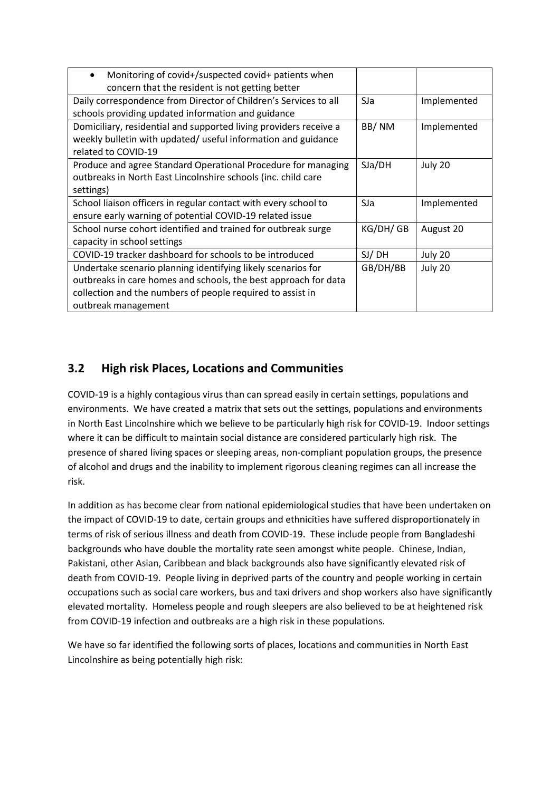| Monitoring of covid+/suspected covid+ patients when<br>$\bullet$  |          |             |
|-------------------------------------------------------------------|----------|-------------|
| concern that the resident is not getting better                   |          |             |
| Daily correspondence from Director of Children's Services to all  | SJa      | Implemented |
| schools providing updated information and guidance                |          |             |
| Domiciliary, residential and supported living providers receive a | BB/NM    | Implemented |
| weekly bulletin with updated/ useful information and guidance     |          |             |
| related to COVID-19                                               |          |             |
| Produce and agree Standard Operational Procedure for managing     | SJA/DH   | July 20     |
| outbreaks in North East Lincolnshire schools (inc. child care     |          |             |
| settings)                                                         |          |             |
| School liaison officers in regular contact with every school to   | SJa      | Implemented |
| ensure early warning of potential COVID-19 related issue          |          |             |
| School nurse cohort identified and trained for outbreak surge     | KG/DH/GB | August 20   |
| capacity in school settings                                       |          |             |
| COVID-19 tracker dashboard for schools to be introduced           | SJ/DH    | July 20     |
| Undertake scenario planning identifying likely scenarios for      | GB/DH/BB | July 20     |
| outbreaks in care homes and schools, the best approach for data   |          |             |
| collection and the numbers of people required to assist in        |          |             |
| outbreak management                                               |          |             |

# **3.2 High risk Places, Locations and Communities**

COVID-19 is a highly contagious virus than can spread easily in certain settings, populations and environments. We have created a matrix that sets out the settings, populations and environments in North East Lincolnshire which we believe to be particularly high risk for COVID-19. Indoor settings where it can be difficult to maintain social distance are considered particularly high risk. The presence of shared living spaces or sleeping areas, non-compliant population groups, the presence of alcohol and drugs and the inability to implement rigorous cleaning regimes can all increase the risk.

In addition as has become clear from national epidemiological studies that have been undertaken on the impact of COVID-19 to date, certain groups and ethnicities have suffered disproportionately in terms of risk of serious illness and death from COVID-19. These include people from Bangladeshi backgrounds who have double the mortality rate seen amongst white people. Chinese, Indian, Pakistani, other Asian, Caribbean and black backgrounds also have significantly elevated risk of death from COVID-19. People living in deprived parts of the country and people working in certain occupations such as social care workers, bus and taxi drivers and shop workers also have significantly elevated mortality. Homeless people and rough sleepers are also believed to be at heightened risk from COVID-19 infection and outbreaks are a high risk in these populations.

We have so far identified the following sorts of places, locations and communities in North East Lincolnshire as being potentially high risk: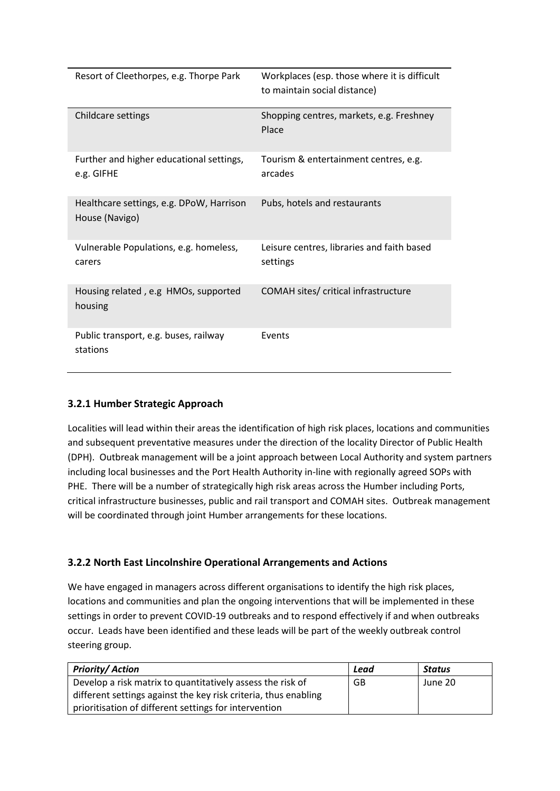| Resort of Cleethorpes, e.g. Thorpe Park                    | Workplaces (esp. those where it is difficult<br>to maintain social distance) |
|------------------------------------------------------------|------------------------------------------------------------------------------|
| Childcare settings                                         | Shopping centres, markets, e.g. Freshney<br>Place                            |
| Further and higher educational settings,<br>e.g. GIFHE     | Tourism & entertainment centres, e.g.<br>arcades                             |
| Healthcare settings, e.g. DPoW, Harrison<br>House (Navigo) | Pubs, hotels and restaurants                                                 |
| Vulnerable Populations, e.g. homeless,<br>carers           | Leisure centres, libraries and faith based<br>settings                       |
| Housing related, e.g HMOs, supported<br>housing            | COMAH sites/ critical infrastructure                                         |
| Public transport, e.g. buses, railway<br>stations          | Events                                                                       |

## **3.2.1 Humber Strategic Approach**

Localities will lead within their areas the identification of high risk places, locations and communities and subsequent preventative measures under the direction of the locality Director of Public Health (DPH). Outbreak management will be a joint approach between Local Authority and system partners including local businesses and the Port Health Authority in-line with regionally agreed SOPs with PHE. There will be a number of strategically high risk areas across the Humber including Ports, critical infrastructure businesses, public and rail transport and COMAH sites. Outbreak management will be coordinated through joint Humber arrangements for these locations.

## **3.2.2 North East Lincolnshire Operational Arrangements and Actions**

We have engaged in managers across different organisations to identify the high risk places, locations and communities and plan the ongoing interventions that will be implemented in these settings in order to prevent COVID-19 outbreaks and to respond effectively if and when outbreaks occur. Leads have been identified and these leads will be part of the weekly outbreak control steering group.

| <b>Priority/Action</b>                                          | Lead | <b>Status</b> |
|-----------------------------------------------------------------|------|---------------|
| Develop a risk matrix to quantitatively assess the risk of      | GB   | June 20       |
| different settings against the key risk criteria, thus enabling |      |               |
| prioritisation of different settings for intervention           |      |               |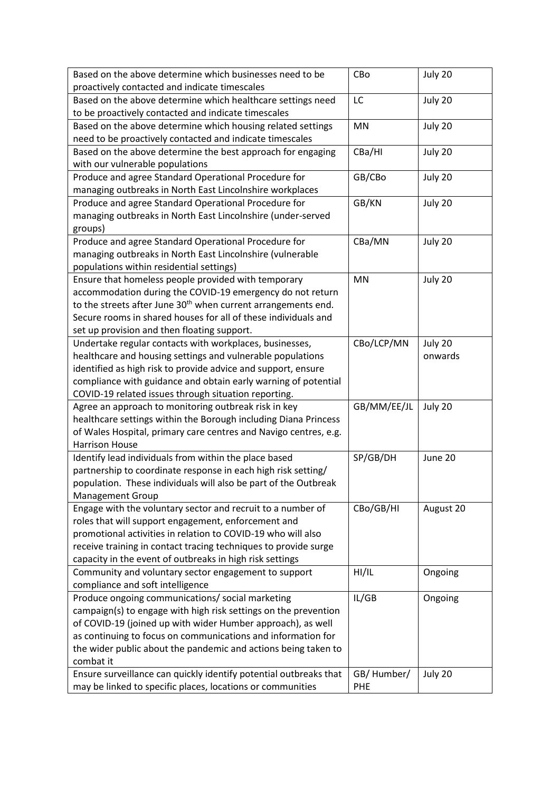| Based on the above determine which businesses need to be                                                               | CBo         | July 20   |
|------------------------------------------------------------------------------------------------------------------------|-------------|-----------|
| proactively contacted and indicate timescales                                                                          |             |           |
| Based on the above determine which healthcare settings need<br>to be proactively contacted and indicate timescales     | LC          | July 20   |
| Based on the above determine which housing related settings                                                            | MN          | July 20   |
| need to be proactively contacted and indicate timescales                                                               |             |           |
| Based on the above determine the best approach for engaging                                                            | CBa/HI      | July 20   |
| with our vulnerable populations                                                                                        |             |           |
| Produce and agree Standard Operational Procedure for                                                                   | GB/CBo      | July 20   |
| managing outbreaks in North East Lincolnshire workplaces                                                               |             |           |
| Produce and agree Standard Operational Procedure for                                                                   | GB/KN       | July 20   |
| managing outbreaks in North East Lincolnshire (under-served                                                            |             |           |
| groups)                                                                                                                |             |           |
| Produce and agree Standard Operational Procedure for                                                                   | CBa/MN      | July 20   |
| managing outbreaks in North East Lincolnshire (vulnerable                                                              |             |           |
| populations within residential settings)                                                                               |             |           |
| Ensure that homeless people provided with temporary                                                                    | <b>MN</b>   | July 20   |
| accommodation during the COVID-19 emergency do not return                                                              |             |           |
| to the streets after June 30 <sup>th</sup> when current arrangements end.                                              |             |           |
| Secure rooms in shared houses for all of these individuals and                                                         |             |           |
| set up provision and then floating support.                                                                            |             |           |
| Undertake regular contacts with workplaces, businesses,                                                                | CBo/LCP/MN  | July 20   |
| healthcare and housing settings and vulnerable populations                                                             |             | onwards   |
| identified as high risk to provide advice and support, ensure                                                          |             |           |
| compliance with guidance and obtain early warning of potential<br>COVID-19 related issues through situation reporting. |             |           |
| Agree an approach to monitoring outbreak risk in key                                                                   | GB/MM/EE/JL | July 20   |
| healthcare settings within the Borough including Diana Princess                                                        |             |           |
| of Wales Hospital, primary care centres and Navigo centres, e.g.                                                       |             |           |
| <b>Harrison House</b>                                                                                                  |             |           |
| Identify lead individuals from within the place based                                                                  | SP/GB/DH    | June 20   |
| partnership to coordinate response in each high risk setting/                                                          |             |           |
| population. These individuals will also be part of the Outbreak                                                        |             |           |
| <b>Management Group</b>                                                                                                |             |           |
| Engage with the voluntary sector and recruit to a number of                                                            | CBo/GB/HI   | August 20 |
| roles that will support engagement, enforcement and                                                                    |             |           |
| promotional activities in relation to COVID-19 who will also                                                           |             |           |
| receive training in contact tracing techniques to provide surge                                                        |             |           |
| capacity in the event of outbreaks in high risk settings                                                               |             |           |
| Community and voluntary sector engagement to support                                                                   | HI/IL       | Ongoing   |
| compliance and soft intelligence                                                                                       |             |           |
| Produce ongoing communications/ social marketing                                                                       | IL/GB       | Ongoing   |
| campaign(s) to engage with high risk settings on the prevention                                                        |             |           |
| of COVID-19 (joined up with wider Humber approach), as well                                                            |             |           |
| as continuing to focus on communications and information for                                                           |             |           |
| the wider public about the pandemic and actions being taken to                                                         |             |           |
| combat it                                                                                                              |             |           |
| Ensure surveillance can quickly identify potential outbreaks that                                                      | GB/Humber/  | July 20   |
| may be linked to specific places, locations or communities                                                             | PHE         |           |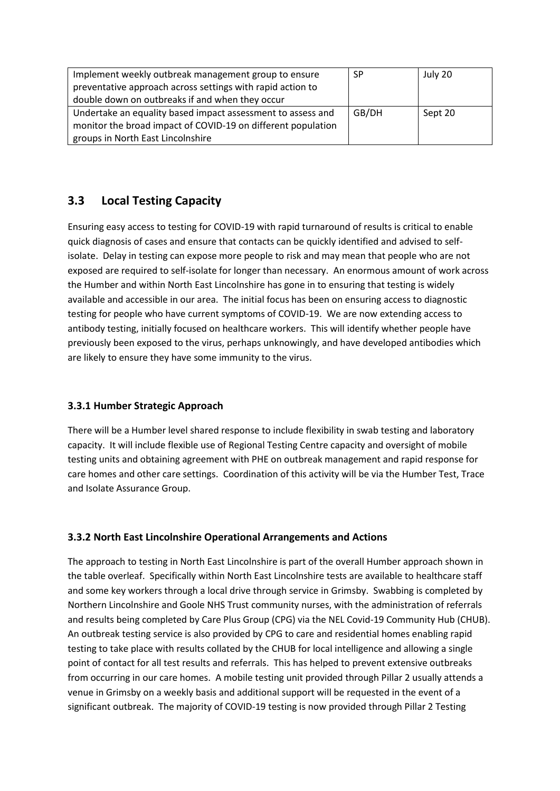| Implement weekly outbreak management group to ensure         | <b>SP</b> | July 20 |
|--------------------------------------------------------------|-----------|---------|
| preventative approach across settings with rapid action to   |           |         |
| double down on outbreaks if and when they occur              |           |         |
| Undertake an equality based impact assessment to assess and  | GB/DH     | Sept 20 |
| monitor the broad impact of COVID-19 on different population |           |         |
| groups in North East Lincolnshire                            |           |         |

# **3.3 Local Testing Capacity**

Ensuring easy access to testing for COVID-19 with rapid turnaround of results is critical to enable quick diagnosis of cases and ensure that contacts can be quickly identified and advised to selfisolate. Delay in testing can expose more people to risk and may mean that people who are not exposed are required to self-isolate for longer than necessary. An enormous amount of work across the Humber and within North East Lincolnshire has gone in to ensuring that testing is widely available and accessible in our area. The initial focus has been on ensuring access to diagnostic testing for people who have current symptoms of COVID-19. We are now extending access to antibody testing, initially focused on healthcare workers. This will identify whether people have previously been exposed to the virus, perhaps unknowingly, and have developed antibodies which are likely to ensure they have some immunity to the virus.

## **3.3.1 Humber Strategic Approach**

There will be a Humber level shared response to include flexibility in swab testing and laboratory capacity. It will include flexible use of Regional Testing Centre capacity and oversight of mobile testing units and obtaining agreement with PHE on outbreak management and rapid response for care homes and other care settings. Coordination of this activity will be via the Humber Test, Trace and Isolate Assurance Group.

## **3.3.2 North East Lincolnshire Operational Arrangements and Actions**

The approach to testing in North East Lincolnshire is part of the overall Humber approach shown in the table overleaf. Specifically within North East Lincolnshire tests are available to healthcare staff and some key workers through a local drive through service in Grimsby. Swabbing is completed by Northern Lincolnshire and Goole NHS Trust community nurses, with the administration of referrals and results being completed by Care Plus Group (CPG) via the NEL Covid-19 Community Hub (CHUB). An outbreak testing service is also provided by CPG to care and residential homes enabling rapid testing to take place with results collated by the CHUB for local intelligence and allowing a single point of contact for all test results and referrals. This has helped to prevent extensive outbreaks from occurring in our care homes. A mobile testing unit provided through Pillar 2 usually attends a venue in Grimsby on a weekly basis and additional support will be requested in the event of a significant outbreak. The majority of COVID-19 testing is now provided through Pillar 2 Testing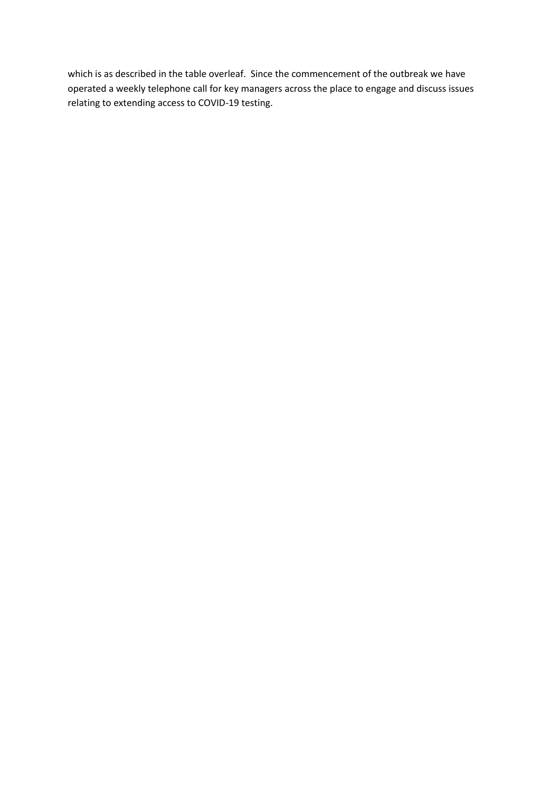which is as described in the table overleaf. Since the commencement of the outbreak we have operated a weekly telephone call for key managers across the place to engage and discuss issues relating to extending access to COVID-19 testing.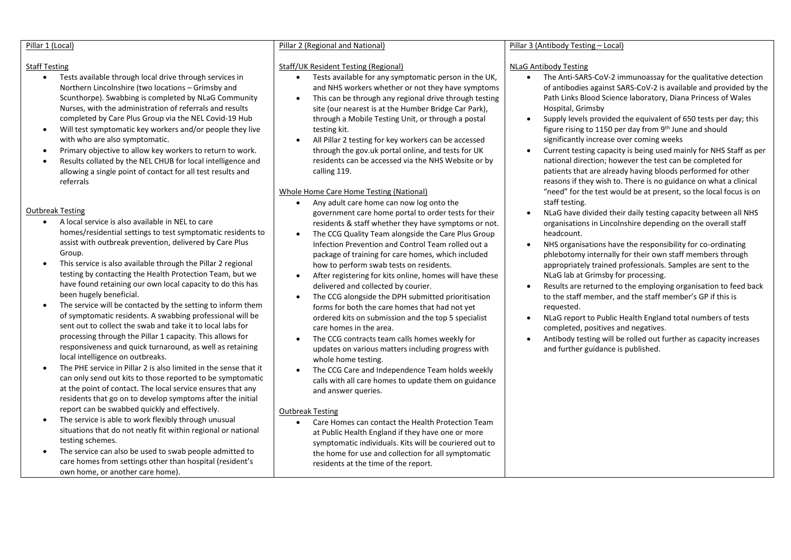#### Pillar 1 (Local)

#### Staff Testing

- Tests available through local drive through services in Northern Lincolnshire (two locations – Grimsby and Scunthorpe). Swabbing is completed by NLaG Community Nurses, with the administration of referrals and results completed by Care Plus Group via the NEL Covid-19 Hub
- Will test symptomatic key workers and/or people they live with who are also symptomatic.
- Primary objective to allow key workers to return to work.
- Results collated by the NEL CHUB for local intelligence and allowing a single point of contact for all test results and referrals

#### Outbreak Testing

- A local service is also available in NEL to care homes/residential settings to test symptomatic residents to assist with outbreak prevention, delivered by Care Plus Group.
- This service is also available through the Pillar 2 regional testing by contacting the Health Protection Team, but we have found retaining our own local capacity to do this has been hugely beneficial.
- The service will be contacted by the setting to inform them of symptomatic residents. A swabbing professional will be sent out to collect the swab and take it to local labs for processing through the Pillar 1 capacity. This allows for responsiveness and quick turnaround, as well as retaining local intelligence on outbreaks.
- The PHE service in Pillar 2 is also limited in the sense that it can only send out kits to those reported to be symptomatic at the point of contact. The local service ensures that any residents that go on to develop symptoms after the initial report can be swabbed quickly and effectively.
- The service is able to work flexibly through unusual situations that do not neatly fit within regional or national testing schemes.
- The service can also be used to swab people admitted to care homes from settings other than hospital (resident's own home, or another care home).

#### Pillar 2 (Regional and National)

#### Staff/UK Resident Testing (Regional)

- Tests available for any symptomatic person in the UK, and NHS workers whether or not they have symptoms
- This can be through any regional drive through testing site (our nearest is at the Humber Bridge Car Park), through a Mobile Testing Unit, or through a postal testing kit.
- All Pillar 2 testing for key workers can be accessed through the gov.uk portal online, and tests for UK residents can be accessed via the NHS Website or by calling 119.

#### Whole Home Care Home Testing (National)

- Any adult care home can now log onto the government care home portal to order tests for their residents & staff whether they have symptoms or not.
- The CCG Quality Team alongside the Care Plus Group Infection Prevention and Control Team rolled out a package of training for care homes, which included how to perform swab tests on residents.
- After registering for kits online, homes will have these delivered and collected by courier.
- The CCG alongside the DPH submitted prioritisation forms for both the care homes that had not yet ordered kits on submission and the top 5 specialist care homes in the area.
- The CCG contracts team calls homes weekly for updates on various matters including progress with whole home testing.
- The CCG Care and Independence Team holds weekly calls with all care homes to update them on guidance and answer queries.

#### Outbreak Testing

• Care Homes can contact the Health Protection Team at Public Health England if they have one or more symptomatic individuals. Kits will be couriered out to the home for use and collection for all symptomatic residents at the time of the report.

#### Pillar 3 (Antibody Testing – Local)

#### NLaG Antibody Testing

- The Anti-SARS-CoV-2 immunoassay for the qualitative detection of antibodies against SARS-CoV-2 is available and provided by the Path Links Blood Science laboratory, Diana Princess of Wales Hospital, Grimsby
- Supply levels provided the equivalent of 650 tests per day; this figure rising to 1150 per day from 9th June and should significantly increase over coming weeks
- Current testing capacity is being used mainly for NHS Staff as per national direction; however the test can be completed for patients that are already having bloods performed for other reasons if they wish to. There is no guidance on what a clinical "need" for the test would be at present, so the local focus is on staff testing.
- NLaG have divided their daily testing capacity between all NHS organisations in Lincolnshire depending on the overall staff headcount.
- NHS organisations have the responsibility for co-ordinating phlebotomy internally for their own staff members through appropriately trained professionals. Samples are sent to the NLaG lab at Grimsby for processing.
- Results are returned to the employing organisation to feed back to the staff member, and the staff member's GP if this is requested.
- NLaG report to Public Health England total numbers of tests completed, positives and negatives.
- Antibody testing will be rolled out further as capacity increases and further guidance is published.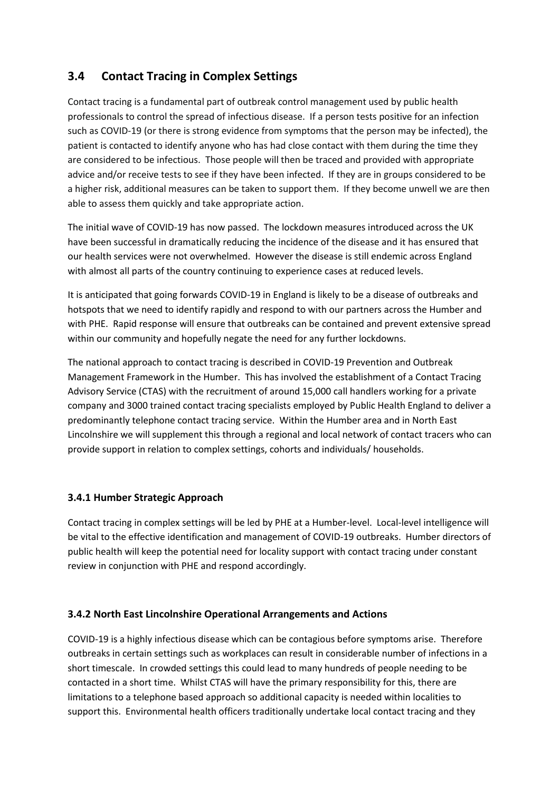# **3.4 Contact Tracing in Complex Settings**

Contact tracing is a fundamental part of outbreak control management used by public health professionals to control the spread of infectious disease. If a person tests positive for an infection such as COVID-19 (or there is strong evidence from symptoms that the person may be infected), the patient is contacted to identify anyone who has had close contact with them during the time they are considered to be infectious. Those people will then be traced and provided with appropriate advice and/or receive tests to see if they have been infected. If they are in groups considered to be a higher risk, additional measures can be taken to support them. If they become unwell we are then able to assess them quickly and take appropriate action.

The initial wave of COVID-19 has now passed. The lockdown measures introduced across the UK have been successful in dramatically reducing the incidence of the disease and it has ensured that our health services were not overwhelmed. However the disease is still endemic across England with almost all parts of the country continuing to experience cases at reduced levels.

It is anticipated that going forwards COVID-19 in England is likely to be a disease of outbreaks and hotspots that we need to identify rapidly and respond to with our partners across the Humber and with PHE. Rapid response will ensure that outbreaks can be contained and prevent extensive spread within our community and hopefully negate the need for any further lockdowns.

The national approach to contact tracing is described in COVID-19 Prevention and Outbreak Management Framework in the Humber. This has involved the establishment of a Contact Tracing Advisory Service (CTAS) with the recruitment of around 15,000 call handlers working for a private company and 3000 trained contact tracing specialists employed by Public Health England to deliver a predominantly telephone contact tracing service. Within the Humber area and in North East Lincolnshire we will supplement this through a regional and local network of contact tracers who can provide support in relation to complex settings, cohorts and individuals/ households.

## **3.4.1 Humber Strategic Approach**

Contact tracing in complex settings will be led by PHE at a Humber-level. Local-level intelligence will be vital to the effective identification and management of COVID-19 outbreaks. Humber directors of public health will keep the potential need for locality support with contact tracing under constant review in conjunction with PHE and respond accordingly.

## **3.4.2 North East Lincolnshire Operational Arrangements and Actions**

COVID-19 is a highly infectious disease which can be contagious before symptoms arise. Therefore outbreaks in certain settings such as workplaces can result in considerable number of infections in a short timescale. In crowded settings this could lead to many hundreds of people needing to be contacted in a short time. Whilst CTAS will have the primary responsibility for this, there are limitations to a telephone based approach so additional capacity is needed within localities to support this. Environmental health officers traditionally undertake local contact tracing and they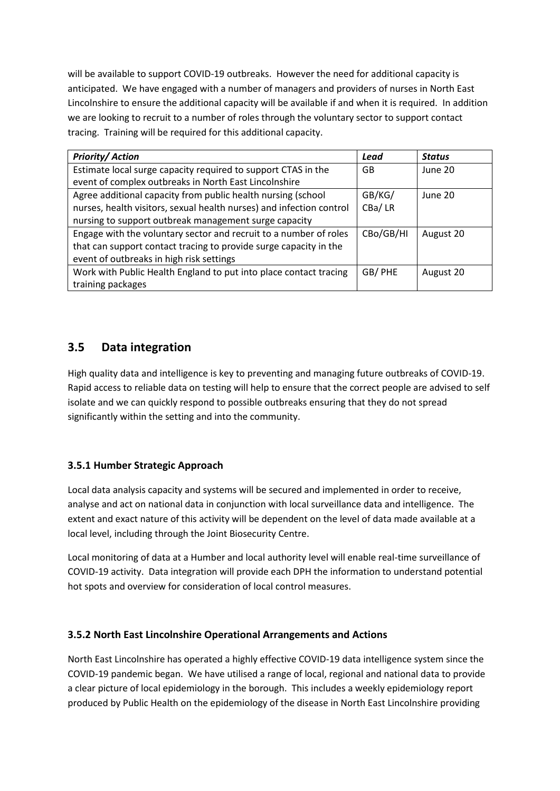will be available to support COVID-19 outbreaks. However the need for additional capacity is anticipated. We have engaged with a number of managers and providers of nurses in North East Lincolnshire to ensure the additional capacity will be available if and when it is required. In addition we are looking to recruit to a number of roles through the voluntary sector to support contact tracing. Training will be required for this additional capacity.

| <b>Priority/Action</b>                                               | Lead      | <b>Status</b> |
|----------------------------------------------------------------------|-----------|---------------|
| Estimate local surge capacity required to support CTAS in the        | GB        | June 20       |
| event of complex outbreaks in North East Lincolnshire                |           |               |
| Agree additional capacity from public health nursing (school         | GB/KG/    | June 20       |
| nurses, health visitors, sexual health nurses) and infection control | CBa/LR    |               |
| nursing to support outbreak management surge capacity                |           |               |
| Engage with the voluntary sector and recruit to a number of roles    | CBo/GB/HI | August 20     |
| that can support contact tracing to provide surge capacity in the    |           |               |
| event of outbreaks in high risk settings                             |           |               |
| Work with Public Health England to put into place contact tracing    | GB/PHE    | August 20     |
| training packages                                                    |           |               |

# **3.5 Data integration**

High quality data and intelligence is key to preventing and managing future outbreaks of COVID-19. Rapid access to reliable data on testing will help to ensure that the correct people are advised to self isolate and we can quickly respond to possible outbreaks ensuring that they do not spread significantly within the setting and into the community.

## **3.5.1 Humber Strategic Approach**

Local data analysis capacity and systems will be secured and implemented in order to receive, analyse and act on national data in conjunction with local surveillance data and intelligence. The extent and exact nature of this activity will be dependent on the level of data made available at a local level, including through the Joint Biosecurity Centre.

Local monitoring of data at a Humber and local authority level will enable real-time surveillance of COVID-19 activity. Data integration will provide each DPH the information to understand potential hot spots and overview for consideration of local control measures.

## **3.5.2 North East Lincolnshire Operational Arrangements and Actions**

North East Lincolnshire has operated a highly effective COVID-19 data intelligence system since the COVID-19 pandemic began. We have utilised a range of local, regional and national data to provide a clear picture of local epidemiology in the borough. This includes a weekly epidemiology report produced by Public Health on the epidemiology of the disease in North East Lincolnshire providing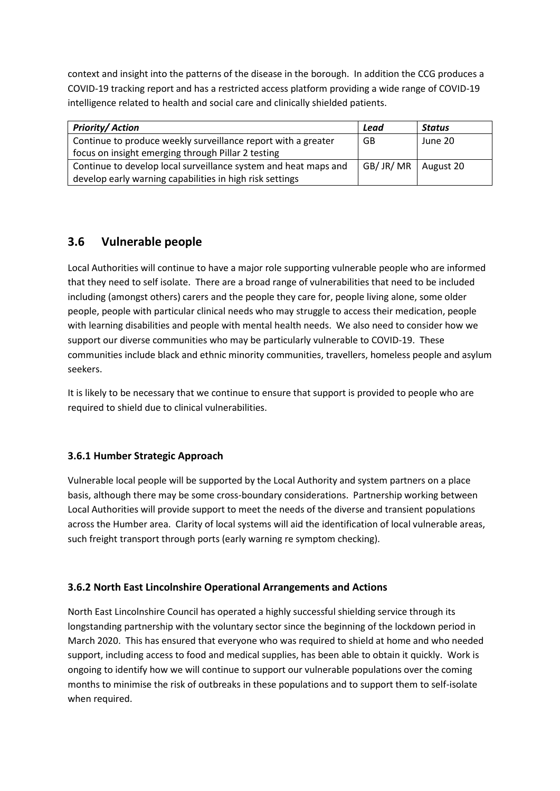context and insight into the patterns of the disease in the borough. In addition the CCG produces a COVID-19 tracking report and has a restricted access platform providing a wide range of COVID-19 intelligence related to health and social care and clinically shielded patients.

| <b>Priority/Action</b>                                          | Lead                   | Status  |
|-----------------------------------------------------------------|------------------------|---------|
| Continue to produce weekly surveillance report with a greater   | GB                     | June 20 |
| focus on insight emerging through Pillar 2 testing              |                        |         |
| Continue to develop local surveillance system and heat maps and | GB/ JR/ MR   August 20 |         |
| develop early warning capabilities in high risk settings        |                        |         |

# **3.6 Vulnerable people**

Local Authorities will continue to have a major role supporting vulnerable people who are informed that they need to self isolate. There are a broad range of vulnerabilities that need to be included including (amongst others) carers and the people they care for, people living alone, some older people, people with particular clinical needs who may struggle to access their medication, people with learning disabilities and people with mental health needs. We also need to consider how we support our diverse communities who may be particularly vulnerable to COVID-19. These communities include black and ethnic minority communities, travellers, homeless people and asylum seekers.

It is likely to be necessary that we continue to ensure that support is provided to people who are required to shield due to clinical vulnerabilities.

## **3.6.1 Humber Strategic Approach**

Vulnerable local people will be supported by the Local Authority and system partners on a place basis, although there may be some cross-boundary considerations. Partnership working between Local Authorities will provide support to meet the needs of the diverse and transient populations across the Humber area. Clarity of local systems will aid the identification of local vulnerable areas, such freight transport through ports (early warning re symptom checking).

## **3.6.2 North East Lincolnshire Operational Arrangements and Actions**

North East Lincolnshire Council has operated a highly successful shielding service through its longstanding partnership with the voluntary sector since the beginning of the lockdown period in March 2020. This has ensured that everyone who was required to shield at home and who needed support, including access to food and medical supplies, has been able to obtain it quickly. Work is ongoing to identify how we will continue to support our vulnerable populations over the coming months to minimise the risk of outbreaks in these populations and to support them to self-isolate when required.